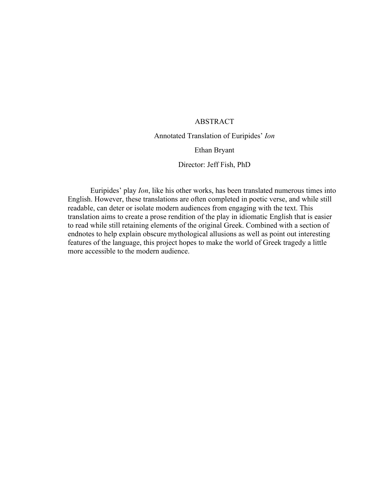# ABSTRACT

# Annotated Translation of Euripides' *Ion*

#### Ethan Bryant

#### Director: Jeff Fish, PhD

Euripides' play *Ion*, like his other works, has been translated numerous times into English. However, these translations are often completed in poetic verse, and while still readable, can deter or isolate modern audiences from engaging with the text. This translation aims to create a prose rendition of the play in idiomatic English that is easier to read while still retaining elements of the original Greek. Combined with a section of endnotes to help explain obscure mythological allusions as well as point out interesting features of the language, this project hopes to make the world of Greek tragedy a little more accessible to the modern audience.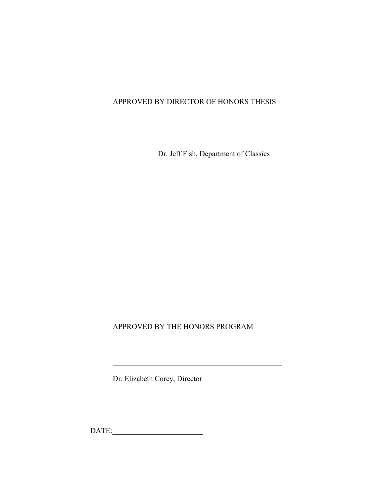# APPROVED BY DIRECTOR OF HONORS THESIS

Dr. Jeff Fish, Department of Classics

 $\frac{1}{2}$  ,  $\frac{1}{2}$  ,  $\frac{1}{2}$  ,  $\frac{1}{2}$  ,  $\frac{1}{2}$  ,  $\frac{1}{2}$  ,  $\frac{1}{2}$  ,  $\frac{1}{2}$  ,  $\frac{1}{2}$  ,  $\frac{1}{2}$  ,  $\frac{1}{2}$  ,  $\frac{1}{2}$  ,  $\frac{1}{2}$  ,  $\frac{1}{2}$  ,  $\frac{1}{2}$  ,  $\frac{1}{2}$  ,  $\frac{1}{2}$  ,  $\frac{1}{2}$  ,  $\frac{1$ 

APPROVED BY THE HONORS PROGRAM

Dr. Elizabeth Corey, Director

DATE:\_\_\_\_\_\_\_\_\_\_\_\_\_\_\_\_\_\_\_\_\_\_\_\_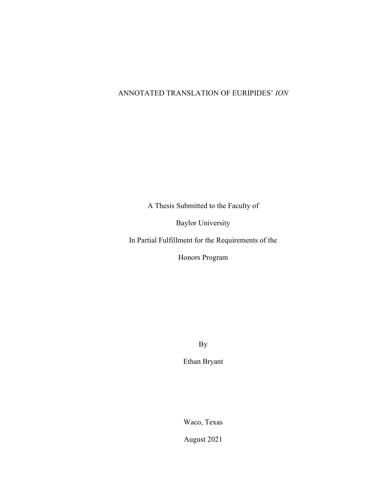# ANNOTATED TRANSLATION OF EURIPIDES' *ION*

A Thesis Submitted to the Faculty of

Baylor University

In Partial Fulfillment for the Requirements of the

Honors Program

By

Ethan Bryant

Waco, Texas

August 2021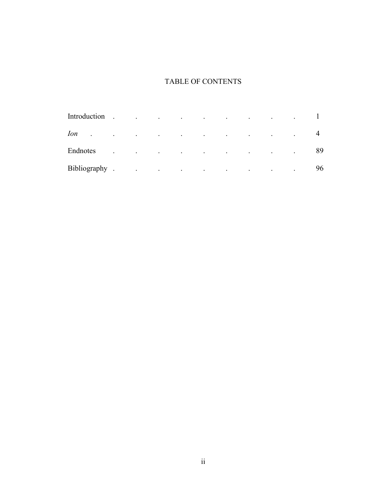# TABLE OF CONTENTS

| Introduction                       | $\overline{\phantom{a}}$ | $\sim 100$       |                              |                         |                                                                 | the contract of the contract of the contract of the contract of the contract of |                         | <b>Contract Contract</b> |    |
|------------------------------------|--------------------------|------------------|------------------------------|-------------------------|-----------------------------------------------------------------|---------------------------------------------------------------------------------|-------------------------|--------------------------|----|
| <i>Ion</i><br>$\ddot{\phantom{a}}$ |                          |                  |                              |                         | the contract of the contract of the contract of the contract of |                                                                                 | $\sim 100$ km s $^{-1}$ | $\bullet$                | 4  |
| Endnotes                           | $\bullet$                |                  | and the contract of the con- | $\sim 100$ km s $^{-1}$ | the contract of the contract of the                             |                                                                                 | $\sim 100$ km s $^{-1}$ | $\bullet$                | 89 |
| Bibliography.                      |                          | $\sim 100$ $\mu$ |                              |                         | the contract of the contract of the contract of the             |                                                                                 | $\sim 100$ km s $^{-1}$ | $\sim$ 100 $\pm$         | 96 |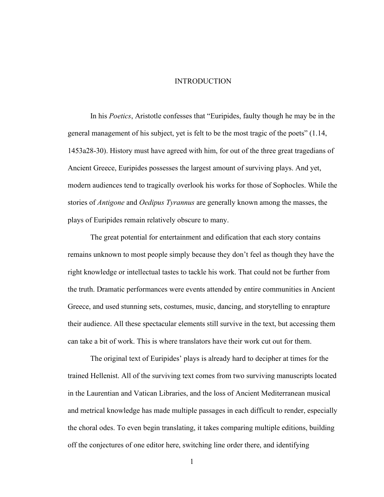#### INTRODUCTION

In his *Poetics*, Aristotle confesses that "Euripides, faulty though he may be in the general management of his subject, yet is felt to be the most tragic of the poets" (1.14, 1453a28-30). History must have agreed with him, for out of the three great tragedians of Ancient Greece, Euripides possesses the largest amount of surviving plays. And yet, modern audiences tend to tragically overlook his works for those of Sophocles. While the stories of *Antigone* and *Oedipus Tyrannus* are generally known among the masses, the plays of Euripides remain relatively obscure to many.

The great potential for entertainment and edification that each story contains remains unknown to most people simply because they don't feel as though they have the right knowledge or intellectual tastes to tackle his work. That could not be further from the truth. Dramatic performances were events attended by entire communities in Ancient Greece, and used stunning sets, costumes, music, dancing, and storytelling to enrapture their audience. All these spectacular elements still survive in the text, but accessing them can take a bit of work. This is where translators have their work cut out for them.

The original text of Euripides' plays is already hard to decipher at times for the trained Hellenist. All of the surviving text comes from two surviving manuscripts located in the Laurentian and Vatican Libraries, and the loss of Ancient Mediterranean musical and metrical knowledge has made multiple passages in each difficult to render, especially the choral odes. To even begin translating, it takes comparing multiple editions, building off the conjectures of one editor here, switching line order there, and identifying

1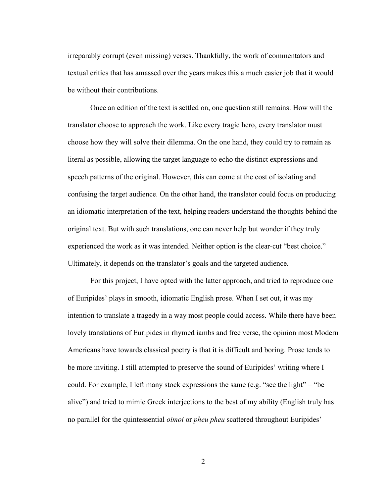irreparably corrupt (even missing) verses. Thankfully, the work of commentators and textual critics that has amassed over the years makes this a much easier job that it would be without their contributions.

Once an edition of the text is settled on, one question still remains: How will the translator choose to approach the work. Like every tragic hero, every translator must choose how they will solve their dilemma. On the one hand, they could try to remain as literal as possible, allowing the target language to echo the distinct expressions and speech patterns of the original. However, this can come at the cost of isolating and confusing the target audience. On the other hand, the translator could focus on producing an idiomatic interpretation of the text, helping readers understand the thoughts behind the original text. But with such translations, one can never help but wonder if they truly experienced the work as it was intended. Neither option is the clear-cut "best choice." Ultimately, it depends on the translator's goals and the targeted audience.

For this project, I have opted with the latter approach, and tried to reproduce one of Euripides' plays in smooth, idiomatic English prose. When I set out, it was my intention to translate a tragedy in a way most people could access. While there have been lovely translations of Euripides in rhymed iambs and free verse, the opinion most Modern Americans have towards classical poetry is that it is difficult and boring. Prose tends to be more inviting. I still attempted to preserve the sound of Euripides' writing where I could. For example, I left many stock expressions the same (e.g. "see the light" = "be alive") and tried to mimic Greek interjections to the best of my ability (English truly has no parallel for the quintessential *oimoi* or *pheu pheu* scattered throughout Euripides'

2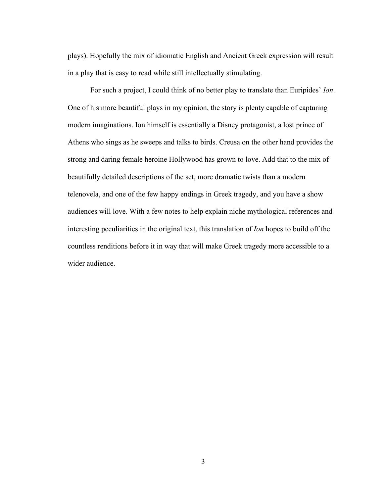plays). Hopefully the mix of idiomatic English and Ancient Greek expression will result in a play that is easy to read while still intellectually stimulating.

For such a project, I could think of no better play to translate than Euripides' *Ion*. One of his more beautiful plays in my opinion, the story is plenty capable of capturing modern imaginations. Ion himself is essentially a Disney protagonist, a lost prince of Athens who sings as he sweeps and talks to birds. Creusa on the other hand provides the strong and daring female heroine Hollywood has grown to love. Add that to the mix of beautifully detailed descriptions of the set, more dramatic twists than a modern telenovela, and one of the few happy endings in Greek tragedy, and you have a show audiences will love. With a few notes to help explain niche mythological references and interesting peculiarities in the original text, this translation of *Ion* hopes to build off the countless renditions before it in way that will make Greek tragedy more accessible to a wider audience.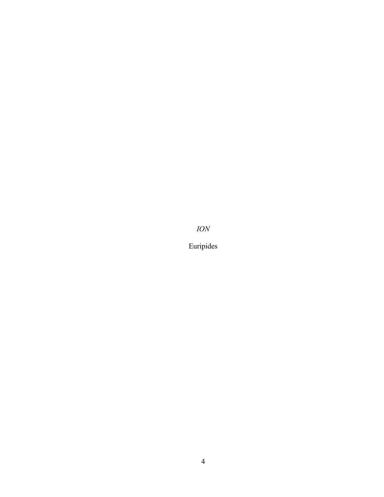*ION*

Euripides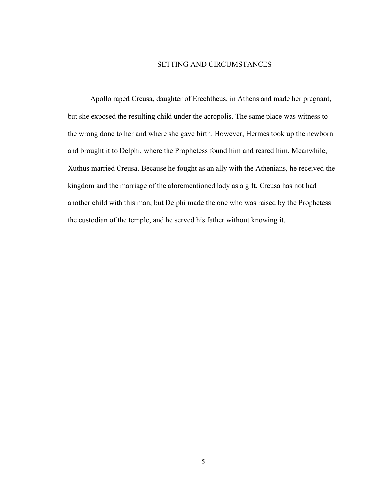#### SETTING AND CIRCUMSTANCES

Apollo raped Creusa, daughter of Erechtheus, in Athens and made her pregnant, but she exposed the resulting child under the acropolis. The same place was witness to the wrong done to her and where she gave birth. However, Hermes took up the newborn and brought it to Delphi, where the Prophetess found him and reared him. Meanwhile, Xuthus married Creusa. Because he fought as an ally with the Athenians, he received the kingdom and the marriage of the aforementioned lady as a gift. Creusa has not had another child with this man, but Delphi made the one who was raised by the Prophetess the custodian of the temple, and he served his father without knowing it.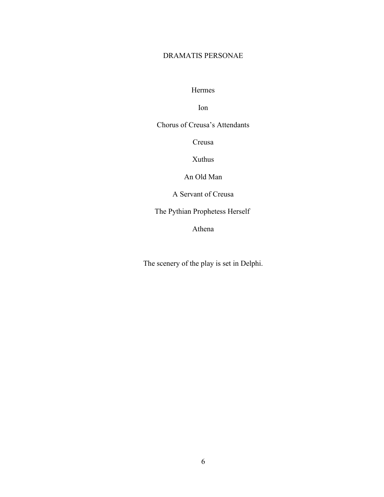# DRAMATIS PERSONAE

Hermes

Ion

Chorus of Creusa's Attendants

Creusa

Xuthus

An Old Man

A Servant of Creusa

The Pythian Prophetess Herself

Athena

The scenery of the play is set in Delphi.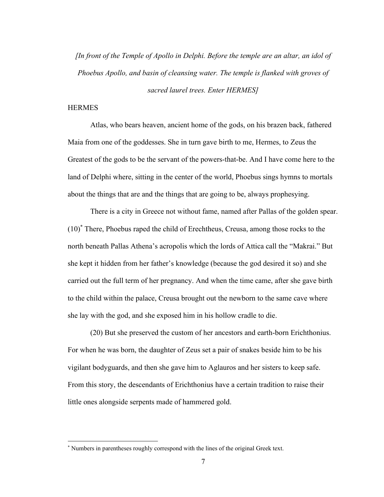*[In front of the Temple of Apollo in Delphi. Before the temple are an altar, an idol of Phoebus Apollo, and basin of cleansing water. The temple is flanked with groves of sacred laurel trees. Enter HERMES]*

# **HERMES**

Atlas, who bears heaven, ancient home of the gods, on his brazen back, fathered Maia from one of the goddesses. She in turn gave birth to me, Hermes, to Zeus the Greatest of the gods to be the servant of the powers-that-be. And I have come here to the land of Delphi where, sitting in the center of the world, Phoebus sings hymns to mortals about the things that are and the things that are going to be, always prophesying.

There is a city in Greece not without fame, named after Pallas of the golden spear. (10)\* There, Phoebus raped the child of Erechtheus, Creusa, among those rocks to the north beneath Pallas Athena's acropolis which the lords of Attica call the "Makrai." But she kept it hidden from her father's knowledge (because the god desired it so) and she carried out the full term of her pregnancy. And when the time came, after she gave birth to the child within the palace, Creusa brought out the newborn to the same cave where she lay with the god, and she exposed him in his hollow cradle to die.

(20) But she preserved the custom of her ancestors and earth-born Erichthonius. For when he was born, the daughter of Zeus set a pair of snakes beside him to be his vigilant bodyguards, and then she gave him to Aglauros and her sisters to keep safe. From this story, the descendants of Erichthonius have a certain tradition to raise their little ones alongside serpents made of hammered gold.

<sup>\*</sup> Numbers in parentheses roughly correspond with the lines of the original Greek text.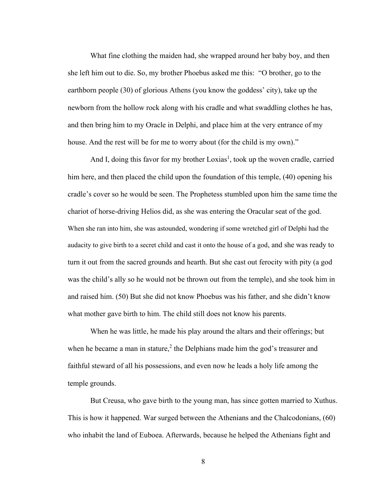What fine clothing the maiden had, she wrapped around her baby boy, and then she left him out to die. So, my brother Phoebus asked me this: "O brother, go to the earthborn people (30) of glorious Athens (you know the goddess' city), take up the newborn from the hollow rock along with his cradle and what swaddling clothes he has, and then bring him to my Oracle in Delphi, and place him at the very entrance of my house. And the rest will be for me to worry about (for the child is my own)."

And I, doing this favor for my brother Loxias<sup>1</sup>, took up the woven cradle, carried him here, and then placed the child upon the foundation of this temple, (40) opening his cradle's cover so he would be seen. The Prophetess stumbled upon him the same time the chariot of horse-driving Helios did, as she was entering the Oracular seat of the god. When she ran into him, she was astounded, wondering if some wretched girl of Delphi had the audacity to give birth to a secret child and cast it onto the house of a god, and she was ready to turn it out from the sacred grounds and hearth. But she cast out ferocity with pity (a god was the child's ally so he would not be thrown out from the temple), and she took him in and raised him. (50) But she did not know Phoebus was his father, and she didn't know what mother gave birth to him. The child still does not know his parents.

When he was little, he made his play around the altars and their offerings; but when he became a man in stature,<sup>2</sup> the Delphians made him the god's treasurer and faithful steward of all his possessions, and even now he leads a holy life among the temple grounds.

But Creusa, who gave birth to the young man, has since gotten married to Xuthus. This is how it happened. War surged between the Athenians and the Chalcodonians, (60) who inhabit the land of Euboea. Afterwards, because he helped the Athenians fight and

8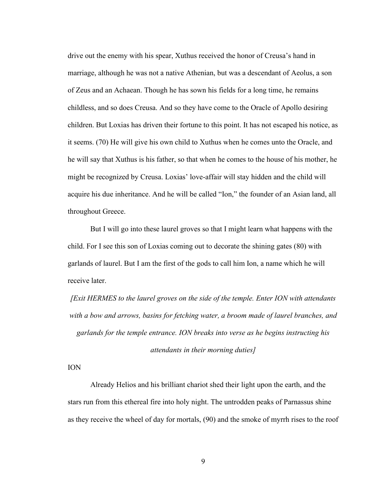drive out the enemy with his spear, Xuthus received the honor of Creusa's hand in marriage, although he was not a native Athenian, but was a descendant of Aeolus, a son of Zeus and an Achaean. Though he has sown his fields for a long time, he remains childless, and so does Creusa. And so they have come to the Oracle of Apollo desiring children. But Loxias has driven their fortune to this point. It has not escaped his notice, as it seems. (70) He will give his own child to Xuthus when he comes unto the Oracle, and he will say that Xuthus is his father, so that when he comes to the house of his mother, he might be recognized by Creusa. Loxias' love-affair will stay hidden and the child will acquire his due inheritance. And he will be called "Ion," the founder of an Asian land, all throughout Greece.

But I will go into these laurel groves so that I might learn what happens with the child. For I see this son of Loxias coming out to decorate the shining gates (80) with garlands of laurel. But I am the first of the gods to call him Ion, a name which he will receive later.

*[Exit HERMES to the laurel groves on the side of the temple. Enter ION with attendants with a bow and arrows, basins for fetching water, a broom made of laurel branches, and garlands for the temple entrance. ION breaks into verse as he begins instructing his attendants in their morning duties]*

ION

Already Helios and his brilliant chariot shed their light upon the earth, and the stars run from this ethereal fire into holy night. The untrodden peaks of Parnassus shine as they receive the wheel of day for mortals, (90) and the smoke of myrrh rises to the roof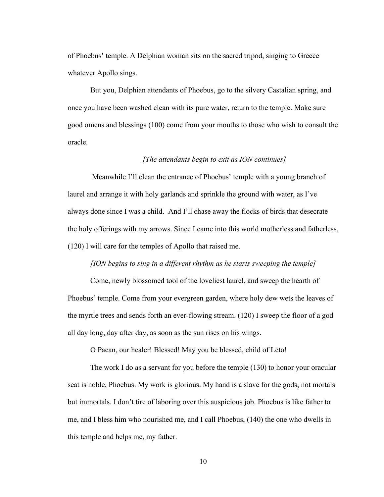of Phoebus' temple. A Delphian woman sits on the sacred tripod, singing to Greece whatever Apollo sings.

But you, Delphian attendants of Phoebus, go to the silvery Castalian spring, and once you have been washed clean with its pure water, return to the temple. Make sure good omens and blessings (100) come from your mouths to those who wish to consult the oracle.

#### *[The attendants begin to exit as ION continues]*

 Meanwhile I'll clean the entrance of Phoebus' temple with a young branch of laurel and arrange it with holy garlands and sprinkle the ground with water, as I've always done since I was a child. And I'll chase away the flocks of birds that desecrate the holy offerings with my arrows. Since I came into this world motherless and fatherless, (120) I will care for the temples of Apollo that raised me.

# *[ION begins to sing in a different rhythm as he starts sweeping the temple]*

 Come, newly blossomed tool of the loveliest laurel, and sweep the hearth of Phoebus' temple. Come from your evergreen garden, where holy dew wets the leaves of the myrtle trees and sends forth an ever-flowing stream. (120) I sweep the floor of a god all day long, day after day, as soon as the sun rises on his wings.

O Paean, our healer! Blessed! May you be blessed, child of Leto!

The work I do as a servant for you before the temple (130) to honor your oracular seat is noble, Phoebus. My work is glorious. My hand is a slave for the gods, not mortals but immortals. I don't tire of laboring over this auspicious job. Phoebus is like father to me, and I bless him who nourished me, and I call Phoebus, (140) the one who dwells in this temple and helps me, my father.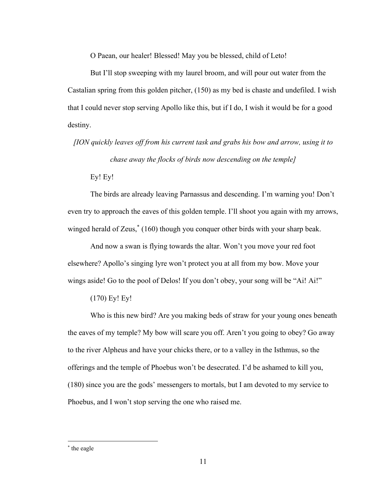O Paean, our healer! Blessed! May you be blessed, child of Leto!

But I'll stop sweeping with my laurel broom, and will pour out water from the Castalian spring from this golden pitcher, (150) as my bed is chaste and undefiled. I wish that I could never stop serving Apollo like this, but if I do, I wish it would be for a good destiny.

*[ION quickly leaves off from his current task and grabs his bow and arrow, using it to chase away the flocks of birds now descending on the temple]*

Ey! Ey!

The birds are already leaving Parnassus and descending. I'm warning you! Don't even try to approach the eaves of this golden temple. I'll shoot you again with my arrows, winged herald of Zeus,<sup>\*</sup> (160) though you conquer other birds with your sharp beak.

And now a swan is flying towards the altar. Won't you move your red foot elsewhere? Apollo's singing lyre won't protect you at all from my bow. Move your wings aside! Go to the pool of Delos! If you don't obey, your song will be "Ai! Ai!"

(170) Ey! Ey!

Who is this new bird? Are you making beds of straw for your young ones beneath the eaves of my temple? My bow will scare you off. Aren't you going to obey? Go away to the river Alpheus and have your chicks there, or to a valley in the Isthmus, so the offerings and the temple of Phoebus won't be desecrated. I'd be ashamed to kill you, (180) since you are the gods' messengers to mortals, but I am devoted to my service to Phoebus, and I won't stop serving the one who raised me.

<sup>\*</sup> the eagle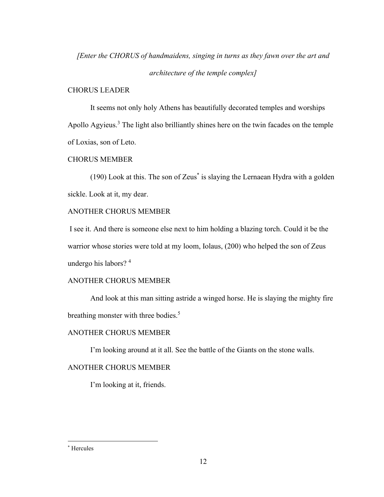*[Enter the CHORUS of handmaidens, singing in turns as they fawn over the art and* 

*architecture of the temple complex]*

# CHORUS LEADER

It seems not only holy Athens has beautifully decorated temples and worships Apollo Agyieus.<sup>3</sup> The light also brilliantly shines here on the twin facades on the temple of Loxias, son of Leto.

# CHORUS MEMBER

(190) Look at this. The son of Zeus\* is slaying the Lernaean Hydra with a golden sickle. Look at it, my dear.

# ANOTHER CHORUS MEMBER

I see it. And there is someone else next to him holding a blazing torch. Could it be the warrior whose stories were told at my loom, Iolaus, (200) who helped the son of Zeus undergo his labors?<sup>4</sup>

# ANOTHER CHORUS MEMBER

And look at this man sitting astride a winged horse. He is slaying the mighty fire breathing monster with three bodies.<sup>5</sup>

# ANOTHER CHORUS MEMBER

I'm looking around at it all. See the battle of the Giants on the stone walls.

# ANOTHER CHORUS MEMBER

I'm looking at it, friends.

<sup>\*</sup> Hercules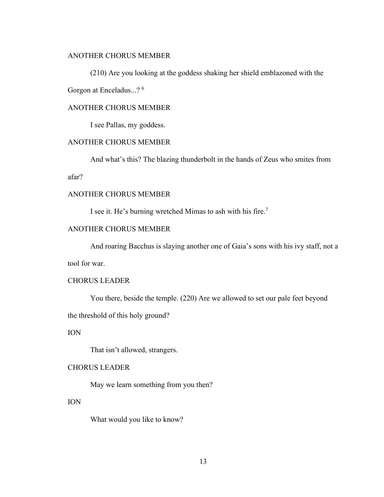## ANOTHER CHORUS MEMBER

(210) Are you looking at the goddess shaking her shield emblazoned with the Gorgon at Enceladus...? <sup>6</sup>

# ANOTHER CHORUS MEMBER

I see Pallas, my goddess.

# ANOTHER CHORUS MEMBER

And what's this? The blazing thunderbolt in the hands of Zeus who smites from

afar?

#### ANOTHER CHORUS MEMBER

I see it. He's burning wretched Mimas to ash with his fire.<sup>7</sup>

# ANOTHER CHORUS MEMBER

And roaring Bacchus is slaying another one of Gaia's sons with his ivy staff, not a

tool for war.

# CHORUS LEADER

You there, beside the temple. (220) Are we allowed to set our pale feet beyond

the threshold of this holy ground?

# ION

That isn't allowed, strangers.

# CHORUS LEADER

May we learn something from you then?

## ION

What would you like to know?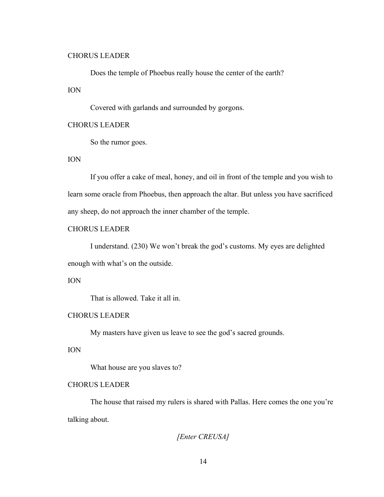#### CHORUS LEADER

Does the temple of Phoebus really house the center of the earth?

## ION

Covered with garlands and surrounded by gorgons.

#### CHORUS LEADER

So the rumor goes.

#### ION

If you offer a cake of meal, honey, and oil in front of the temple and you wish to learn some oracle from Phoebus, then approach the altar. But unless you have sacrificed any sheep, do not approach the inner chamber of the temple.

# CHORUS LEADER

I understand. (230) We won't break the god's customs. My eyes are delighted enough with what's on the outside.

# ION

That is allowed. Take it all in.

# CHORUS LEADER

My masters have given us leave to see the god's sacred grounds.

# ION

What house are you slaves to?

# CHORUS LEADER

The house that raised my rulers is shared with Pallas. Here comes the one you're talking about.

*[Enter CREUSA]*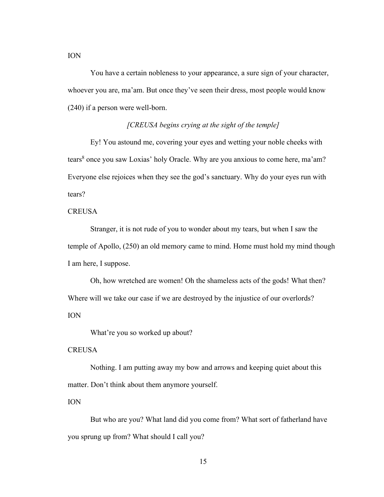You have a certain nobleness to your appearance, a sure sign of your character,

whoever you are, ma'am. But once they've seen their dress, most people would know (240) if a person were well-born.

## *[CREUSA begins crying at the sight of the temple]*

Ey! You astound me, covering your eyes and wetting your noble cheeks with tears<sup>8</sup> once you saw Loxias' holy Oracle. Why are you anxious to come here, ma'am? Everyone else rejoices when they see the god's sanctuary. Why do your eyes run with tears?

## **CREUSA**

ION

Stranger, it is not rude of you to wonder about my tears, but when I saw the temple of Apollo, (250) an old memory came to mind. Home must hold my mind though I am here, I suppose.

Oh, how wretched are women! Oh the shameless acts of the gods! What then? Where will we take our case if we are destroyed by the injustice of our overlords? ION

What're you so worked up about?

#### **CREUSA**

Nothing. I am putting away my bow and arrows and keeping quiet about this matter. Don't think about them anymore yourself.

ION

But who are you? What land did you come from? What sort of fatherland have you sprung up from? What should I call you?

15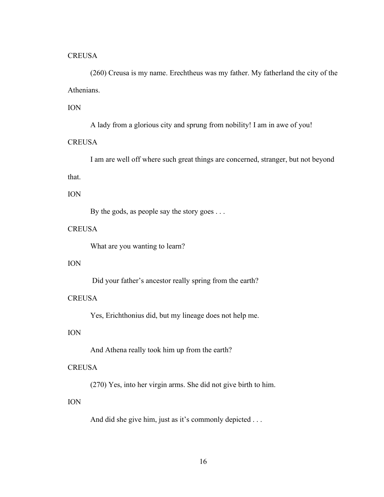#### **CREUSA**

(260) Creusa is my name. Erechtheus was my father. My fatherland the city of the Athenians.

# ION

A lady from a glorious city and sprung from nobility! I am in awe of you!

# **CREUSA**

I am are well off where such great things are concerned, stranger, but not beyond

# that.

# ION

By the gods, as people say the story goes . . .

# **CREUSA**

What are you wanting to learn?

# ION

Did your father's ancestor really spring from the earth?

# **CREUSA**

Yes, Erichthonius did, but my lineage does not help me.

# ION

And Athena really took him up from the earth?

# **CREUSA**

(270) Yes, into her virgin arms. She did not give birth to him.

# ION

And did she give him, just as it's commonly depicted . . .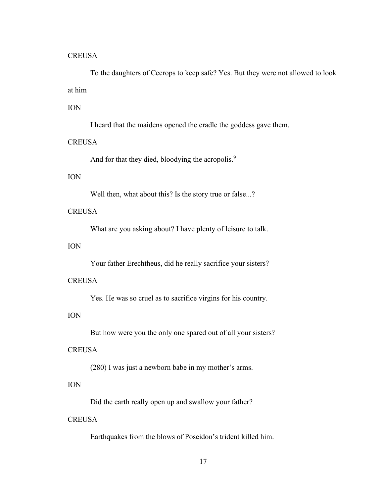#### **CREUSA**

To the daughters of Cecrops to keep safe? Yes. But they were not allowed to look at him

# ION

I heard that the maidens opened the cradle the goddess gave them.

# **CREUSA**

And for that they died, bloodying the acropolis.<sup>9</sup>

# ION

Well then, what about this? Is the story true or false...?

# **CREUSA**

What are you asking about? I have plenty of leisure to talk.

# ION

Your father Erechtheus, did he really sacrifice your sisters?

#### **CREUSA**

Yes. He was so cruel as to sacrifice virgins for his country.

# ION

But how were you the only one spared out of all your sisters?

## **CREUSA**

(280) I was just a newborn babe in my mother's arms.

#### ION

Did the earth really open up and swallow your father?

# **CREUSA**

Earthquakes from the blows of Poseidon's trident killed him.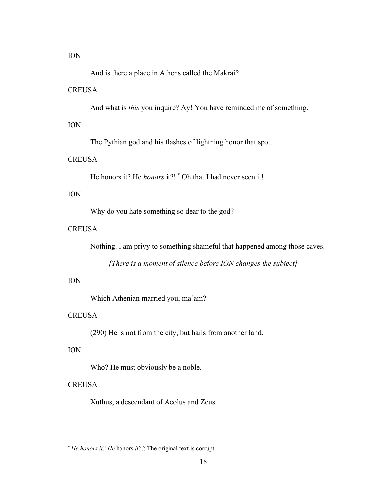ION

And is there a place in Athens called the Makrai?

#### **CREUSA**

And what is *this* you inquire? Ay! You have reminded me of something.

#### ION

The Pythian god and his flashes of lightning honor that spot.

# **CREUSA**

He honors it? He *honors* it?! \* Oh that I had never seen it!

# ION

Why do you hate something so dear to the god?

# **CREUSA**

Nothing. I am privy to something shameful that happened among those caves.

*[There is a moment of silence before ION changes the subject]*

#### ION

Which Athenian married you, ma'am?

#### **CREUSA**

(290) He is not from the city, but hails from another land.

## ION

Who? He must obviously be a noble.

# **CREUSA**

Xuthus, a descendant of Aeolus and Zeus.

<sup>\*</sup> *He honors it? He* honors *it?!*: The original text is corrupt.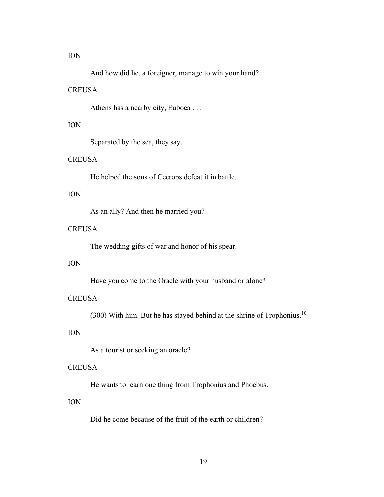#### ION

And how did he, a foreigner, manage to win your hand?

#### **CREUSA**

Athens has a nearby city, Euboea . . .

#### ION

Separated by the sea, they say.

# **CREUSA**

He helped the sons of Cecrops defeat it in battle.

# ION

As an ally? And then he married you?

# **CREUSA**

The wedding gifts of war and honor of his spear.

# ION

Have you come to the Oracle with your husband or alone?

#### **CREUSA**

(300) With him. But he has stayed behind at the shrine of Trophonius.<sup>10</sup>

# ION

As a tourist or seeking an oracle?

# **CREUSA**

He wants to learn one thing from Trophonius and Phoebus.

## ION

Did he come because of the fruit of the earth or children?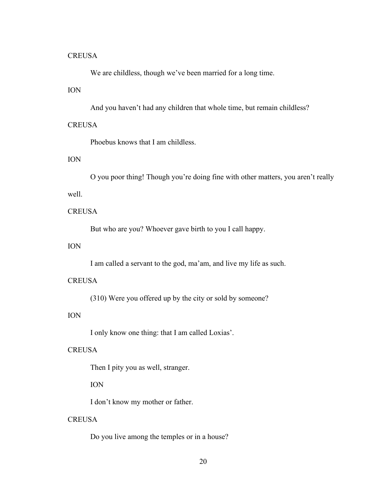#### **CREUSA**

We are childless, though we've been married for a long time.

## ION

And you haven't had any children that whole time, but remain childless?

## **CREUSA**

Phoebus knows that I am childless.

# ION

O you poor thing! Though you're doing fine with other matters, you aren't really well.

# **CREUSA**

But who are you? Whoever gave birth to you I call happy.

# ION

I am called a servant to the god, ma'am, and live my life as such.

#### **CREUSA**

(310) Were you offered up by the city or sold by someone?

# ION

I only know one thing: that I am called Loxias'.

## **CREUSA**

Then I pity you as well, stranger.

# ION

I don't know my mother or father.

# **CREUSA**

Do you live among the temples or in a house?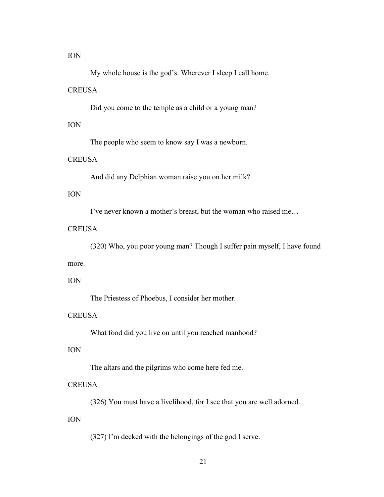ION

My whole house is the god's. Wherever I sleep I call home.

#### **CREUSA**

Did you come to the temple as a child or a young man?

#### ION

The people who seem to know say I was a newborn.

# **CREUSA**

And did any Delphian woman raise you on her milk?

# ION

I've never known a mother's breast, but the woman who raised me…

# **CREUSA**

(320) Who, you poor young man? Though I suffer pain myself, I have found

#### more.

#### ION

The Priestess of Phoebus, I consider her mother.

# **CREUSA**

What food did you live on until you reached manhood?

## ION

The altars and the pilgrims who come here fed me.

#### **CREUSA**

(326) You must have a livelihood, for I see that you are well adorned.

## ION

(327) I'm decked with the belongings of the god I serve.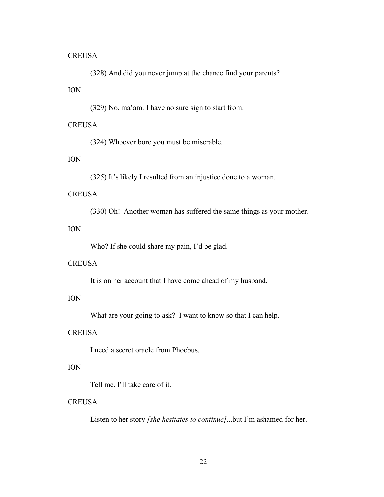#### **CREUSA**

(328) And did you never jump at the chance find your parents?

# ION

(329) No, ma'am. I have no sure sign to start from.

# **CREUSA**

(324) Whoever bore you must be miserable.

# ION

(325) It's likely I resulted from an injustice done to a woman.

# **CREUSA**

(330) Oh! Another woman has suffered the same things as your mother.

# ION

Who? If she could share my pain, I'd be glad.

## **CREUSA**

It is on her account that I have come ahead of my husband.

# ION

What are your going to ask? I want to know so that I can help.

# **CREUSA**

I need a secret oracle from Phoebus.

# ION

Tell me. I'll take care of it.

# **CREUSA**

Listen to her story *[she hesitates to continue]*...but I'm ashamed for her.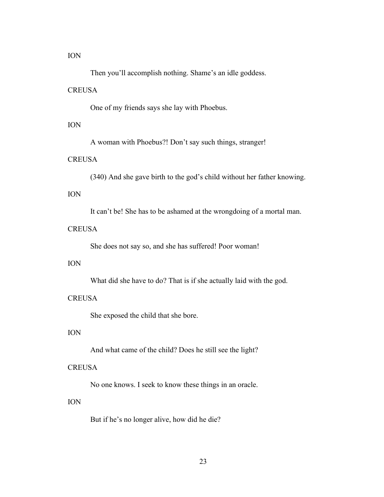ION

Then you'll accomplish nothing. Shame's an idle goddess.

#### **CREUSA**

One of my friends says she lay with Phoebus.

# ION

A woman with Phoebus?! Don't say such things, stranger!

# **CREUSA**

(340) And she gave birth to the god's child without her father knowing.

# ION

It can't be! She has to be ashamed at the wrongdoing of a mortal man.

# **CREUSA**

She does not say so, and she has suffered! Poor woman!

# ION

What did she have to do? That is if she actually laid with the god.

#### **CREUSA**

She exposed the child that she bore.

# ION

And what came of the child? Does he still see the light?

#### **CREUSA**

No one knows. I seek to know these things in an oracle.

## ION

But if he's no longer alive, how did he die?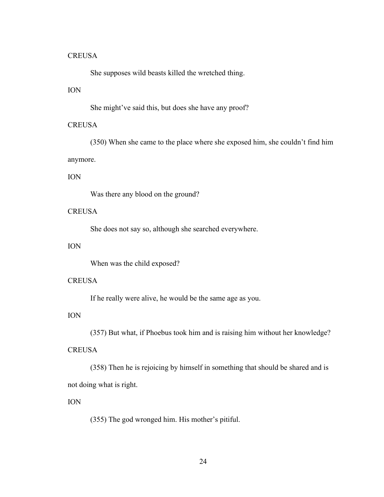#### **CREUSA**

She supposes wild beasts killed the wretched thing.

# ION

She might've said this, but does she have any proof?

# **CREUSA**

(350) When she came to the place where she exposed him, she couldn't find him anymore.

#### ION

Was there any blood on the ground?

# **CREUSA**

She does not say so, although she searched everywhere.

# ION

When was the child exposed?

#### **CREUSA**

If he really were alive, he would be the same age as you.

# ION

(357) But what, if Phoebus took him and is raising him without her knowledge?

## **CREUSA**

(358) Then he is rejoicing by himself in something that should be shared and is not doing what is right.

#### ION

(355) The god wronged him. His mother's pitiful.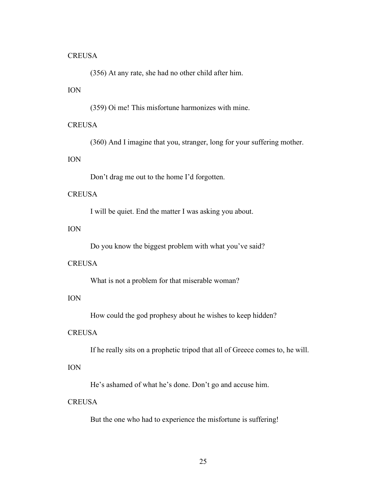#### **CREUSA**

(356) At any rate, she had no other child after him.

# ION

(359) Oi me! This misfortune harmonizes with mine.

#### **CREUSA**

(360) And I imagine that you, stranger, long for your suffering mother.

# ION

Don't drag me out to the home I'd forgotten.

# **CREUSA**

I will be quiet. End the matter I was asking you about.

# ION

Do you know the biggest problem with what you've said?

#### **CREUSA**

What is not a problem for that miserable woman?

# ION

How could the god prophesy about he wishes to keep hidden?

## **CREUSA**

If he really sits on a prophetic tripod that all of Greece comes to, he will.

# ION

He's ashamed of what he's done. Don't go and accuse him.

# **CREUSA**

But the one who had to experience the misfortune is suffering!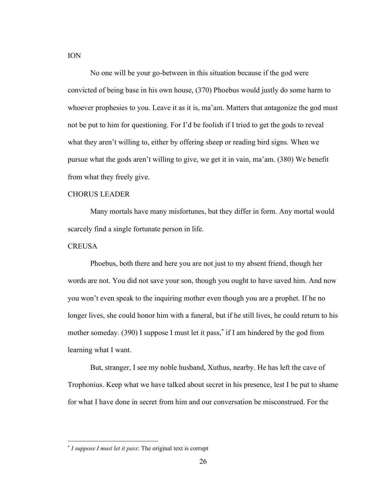No one will be your go-between in this situation because if the god were convicted of being base in his own house, (370) Phoebus would justly do some harm to whoever prophesies to you. Leave it as it is, ma'am. Matters that antagonize the god must not be put to him for questioning. For I'd be foolish if I tried to get the gods to reveal what they aren't willing to, either by offering sheep or reading bird signs. When we pursue what the gods aren't willing to give, we get it in vain, ma'am. (380) We benefit from what they freely give.

#### CHORUS LEADER

Many mortals have many misfortunes, but they differ in form. Any mortal would scarcely find a single fortunate person in life.

#### **CREUSA**

Phoebus, both there and here you are not just to my absent friend, though her words are not. You did not save your son, though you ought to have saved him. And now you won't even speak to the inquiring mother even though you are a prophet. If he no longer lives, she could honor him with a funeral, but if he still lives, he could return to his mother someday. (390) I suppose I must let it pass,<sup>\*</sup> if I am hindered by the god from learning what I want.

But, stranger, I see my noble husband, Xuthus, nearby. He has left the cave of Trophonius. Keep what we have talked about secret in his presence, lest I be put to shame for what I have done in secret from him and our conversation be misconstrued. For the

<sup>\*</sup> *I suppose I must let it pass*: The original text is corrupt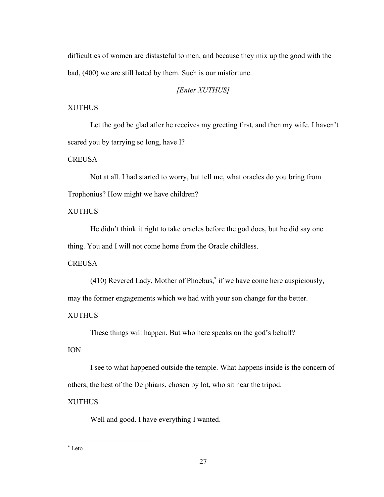difficulties of women are distasteful to men, and because they mix up the good with the bad, (400) we are still hated by them. Such is our misfortune.

# *[Enter XUTHUS]*

# XUTHUS

Let the god be glad after he receives my greeting first, and then my wife. I haven't scared you by tarrying so long, have I?

# **CREUSA**

Not at all. I had started to worry, but tell me, what oracles do you bring from Trophonius? How might we have children?

# XUTHUS

He didn't think it right to take oracles before the god does, but he did say one thing. You and I will not come home from the Oracle childless.

## **CREUSA**

(410) Revered Lady, Mother of Phoebus,\* if we have come here auspiciously,

may the former engagements which we had with your son change for the better.

# XUTHUS

These things will happen. But who here speaks on the god's behalf?

# ION

I see to what happened outside the temple. What happens inside is the concern of others, the best of the Delphians, chosen by lot, who sit near the tripod.

# XUTHUS

Well and good. I have everything I wanted.

<sup>\*</sup> Leto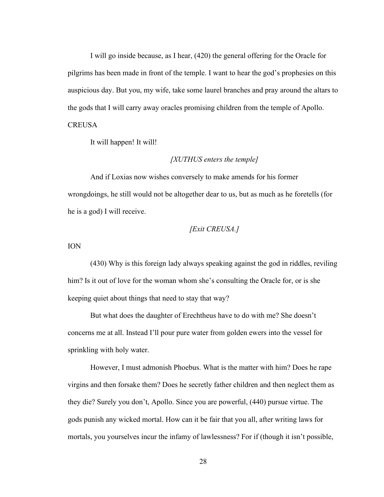I will go inside because, as I hear, (420) the general offering for the Oracle for pilgrims has been made in front of the temple. I want to hear the god's prophesies on this auspicious day. But you, my wife, take some laurel branches and pray around the altars to the gods that I will carry away oracles promising children from the temple of Apollo. **CREUSA** 

It will happen! It will!

#### *[XUTHUS enters the temple]*

And if Loxias now wishes conversely to make amends for his former wrongdoings, he still would not be altogether dear to us, but as much as he foretells (for he is a god) I will receive.

#### *[Exit CREUSA.]*

ION

(430) Why is this foreign lady always speaking against the god in riddles, reviling him? Is it out of love for the woman whom she's consulting the Oracle for, or is she keeping quiet about things that need to stay that way?

But what does the daughter of Erechtheus have to do with me? She doesn't concerns me at all. Instead I'll pour pure water from golden ewers into the vessel for sprinkling with holy water.

However, I must admonish Phoebus. What is the matter with him? Does he rape virgins and then forsake them? Does he secretly father children and then neglect them as they die? Surely you don't, Apollo. Since you are powerful, (440) pursue virtue. The gods punish any wicked mortal. How can it be fair that you all, after writing laws for mortals, you yourselves incur the infamy of lawlessness? For if (though it isn't possible,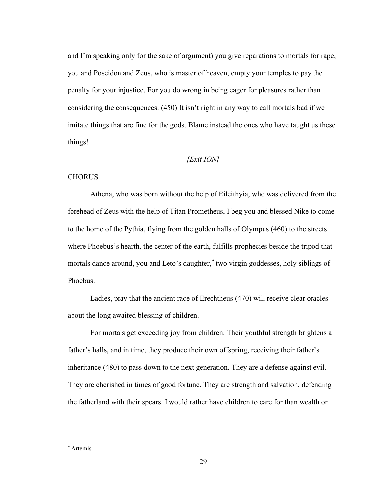and I'm speaking only for the sake of argument) you give reparations to mortals for rape, you and Poseidon and Zeus, who is master of heaven, empty your temples to pay the penalty for your injustice. For you do wrong in being eager for pleasures rather than considering the consequences. (450) It isn't right in any way to call mortals bad if we imitate things that are fine for the gods. Blame instead the ones who have taught us these things!

# *[Exit ION]*

## **CHORUS**

Athena, who was born without the help of Eileithyia, who was delivered from the forehead of Zeus with the help of Titan Prometheus, I beg you and blessed Nike to come to the home of the Pythia, flying from the golden halls of Olympus (460) to the streets where Phoebus's hearth, the center of the earth, fulfills prophecies beside the tripod that mortals dance around, you and Leto's daughter,\* two virgin goddesses, holy siblings of Phoebus.

Ladies, pray that the ancient race of Erechtheus (470) will receive clear oracles about the long awaited blessing of children.

For mortals get exceeding joy from children. Their youthful strength brightens a father's halls, and in time, they produce their own offspring, receiving their father's inheritance (480) to pass down to the next generation. They are a defense against evil. They are cherished in times of good fortune. They are strength and salvation, defending the fatherland with their spears. I would rather have children to care for than wealth or

\* Artemis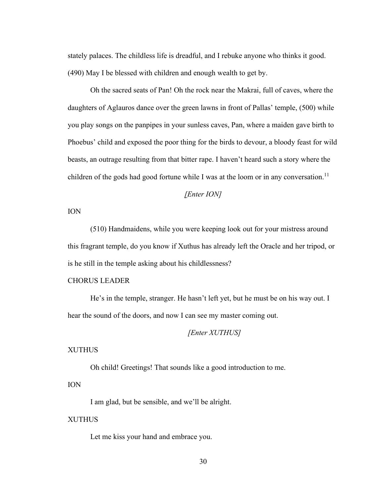stately palaces. The childless life is dreadful, and I rebuke anyone who thinks it good. (490) May I be blessed with children and enough wealth to get by.

Oh the sacred seats of Pan! Oh the rock near the Makrai, full of caves, where the daughters of Aglauros dance over the green lawns in front of Pallas' temple, (500) while you play songs on the panpipes in your sunless caves, Pan, where a maiden gave birth to Phoebus' child and exposed the poor thing for the birds to devour, a bloody feast for wild beasts, an outrage resulting from that bitter rape. I haven't heard such a story where the children of the gods had good fortune while I was at the loom or in any conversation.<sup>11</sup>

#### *[Enter ION]*

# ION

(510) Handmaidens, while you were keeping look out for your mistress around this fragrant temple, do you know if Xuthus has already left the Oracle and her tripod, or is he still in the temple asking about his childlessness?

# CHORUS LEADER

He's in the temple, stranger. He hasn't left yet, but he must be on his way out. I hear the sound of the doors, and now I can see my master coming out.

# *[Enter XUTHUS]*

#### XUTHUS

Oh child! Greetings! That sounds like a good introduction to me.

#### ION

I am glad, but be sensible, and we'll be alright.

#### **XUTHUS**

Let me kiss your hand and embrace you.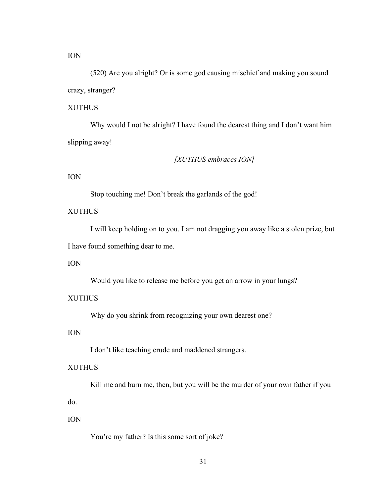ION

(520) Are you alright? Or is some god causing mischief and making you sound crazy, stranger?

# XUTHUS

Why would I not be alright? I have found the dearest thing and I don't want him slipping away!

# *[XUTHUS embraces ION]*

# ION

Stop touching me! Don't break the garlands of the god!

# XUTHUS

I will keep holding on to you. I am not dragging you away like a stolen prize, but

I have found something dear to me.

# ION

Would you like to release me before you get an arrow in your lungs?

#### XUTHUS

Why do you shrink from recognizing your own dearest one?

# ION

I don't like teaching crude and maddened strangers.

#### XUTHUS

Kill me and burn me, then, but you will be the murder of your own father if you

do.

## ION

You're my father? Is this some sort of joke?

31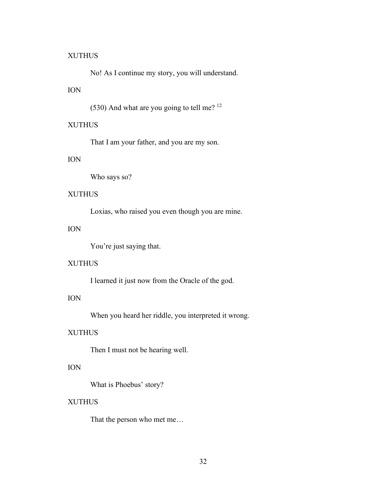#### XUTHUS

No! As I continue my story, you will understand.

# ION

(530) And what are you going to tell me?  $12$ 

# XUTHUS

That I am your father, and you are my son.

# ION

Who says so?

# XUTHUS

Loxias, who raised you even though you are mine.

# ION

You're just saying that.

# XUTHUS

I learned it just now from the Oracle of the god.

# ION

When you heard her riddle, you interpreted it wrong.

# XUTHUS

Then I must not be hearing well.

# ION

What is Phoebus' story?

## XUTHUS

That the person who met me…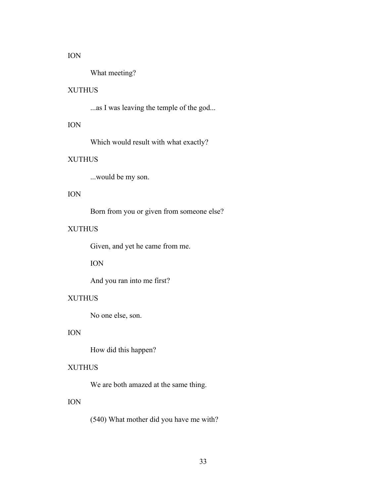#### ION

What meeting?

# XUTHUS

...as I was leaving the temple of the god...

# ION

Which would result with what exactly?

# XUTHUS

...would be my son.

## ION

Born from you or given from someone else?

# XUTHUS

Given, and yet he came from me.

ION

And you ran into me first?

# XUTHUS

No one else, son.

# ION

How did this happen?

# XUTHUS

We are both amazed at the same thing.

# ION

(540) What mother did you have me with?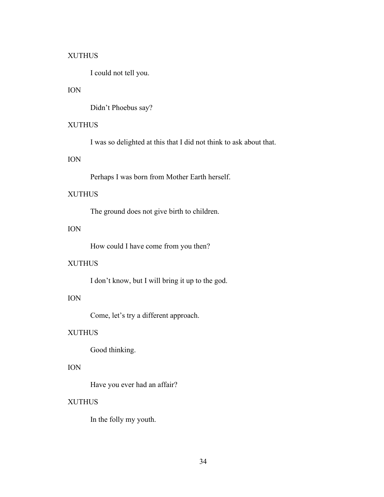### XUTHUS

I could not tell you.

# ION

Didn't Phoebus say?

# XUTHUS

I was so delighted at this that I did not think to ask about that.

# ION

Perhaps I was born from Mother Earth herself.

## XUTHUS

The ground does not give birth to children.

# ION

How could I have come from you then?

## XUTHUS

I don't know, but I will bring it up to the god.

# ION

Come, let's try a different approach.

# XUTHUS

Good thinking.

# ION

Have you ever had an affair?

### XUTHUS

In the folly my youth.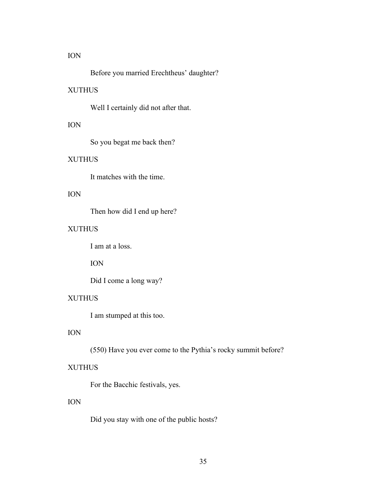#### ION

Before you married Erechtheus' daughter?

# XUTHUS

Well I certainly did not after that.

# ION

So you begat me back then?

# XUTHUS

It matches with the time.

# ION

Then how did I end up here?

# XUTHUS

I am at a loss.

ION

Did I come a long way?

# XUTHUS

I am stumped at this too.

# ION

(550) Have you ever come to the Pythia's rocky summit before?

### XUTHUS

For the Bacchic festivals, yes.

# ION

Did you stay with one of the public hosts?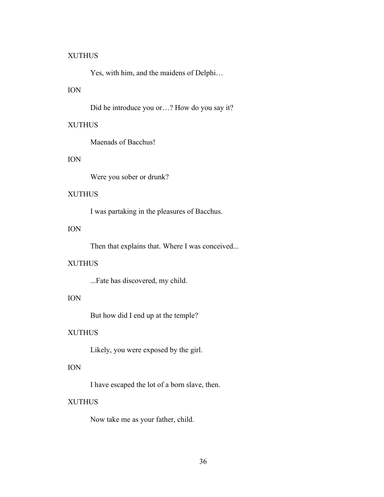#### XUTHUS

Yes, with him, and the maidens of Delphi…

# ION

Did he introduce you or…? How do you say it?

# XUTHUS

Maenads of Bacchus!

# ION

Were you sober or drunk?

## XUTHUS

I was partaking in the pleasures of Bacchus.

# ION

Then that explains that. Where I was conceived...

## XUTHUS

...Fate has discovered, my child.

# ION

But how did I end up at the temple?

# XUTHUS

Likely, you were exposed by the girl.

# ION

I have escaped the lot of a born slave, then.

### XUTHUS

Now take me as your father, child.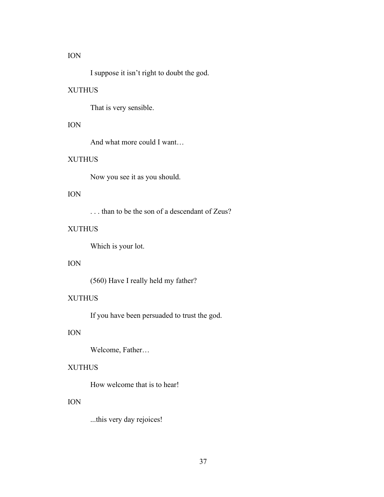#### ION

I suppose it isn't right to doubt the god.

# XUTHUS

That is very sensible.

# ION

And what more could I want…

# XUTHUS

Now you see it as you should.

# ION

. . . than to be the son of a descendant of Zeus?

# XUTHUS

Which is your lot.

# ION

(560) Have I really held my father?

# XUTHUS

If you have been persuaded to trust the god.

# ION

Welcome, Father…

### XUTHUS

How welcome that is to hear!

# ION

...this very day rejoices!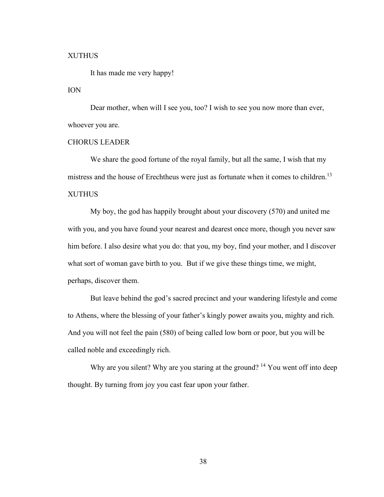#### XUTHUS

It has made me very happy!

### ION

Dear mother, when will I see you, too? I wish to see you now more than ever, whoever you are.

#### CHORUS LEADER

We share the good fortune of the royal family, but all the same, I wish that my mistress and the house of Erechtheus were just as fortunate when it comes to children.<sup>13</sup> XUTHUS

My boy, the god has happily brought about your discovery (570) and united me with you, and you have found your nearest and dearest once more, though you never saw him before. I also desire what you do: that you, my boy, find your mother, and I discover what sort of woman gave birth to you. But if we give these things time, we might, perhaps, discover them.

But leave behind the god's sacred precinct and your wandering lifestyle and come to Athens, where the blessing of your father's kingly power awaits you, mighty and rich. And you will not feel the pain (580) of being called low born or poor, but you will be called noble and exceedingly rich.

Why are you silent? Why are you staring at the ground? <sup>14</sup> You went off into deep thought. By turning from joy you cast fear upon your father.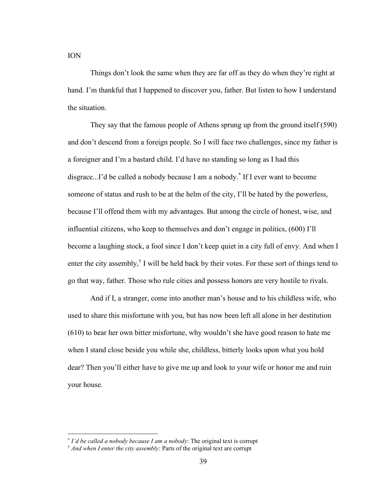ION

Things don't look the same when they are far off as they do when they're right at hand. I'm thankful that I happened to discover you, father. But listen to how I understand the situation.

They say that the famous people of Athens sprung up from the ground itself (590) and don't descend from a foreign people. So I will face two challenges, since my father is a foreigner and I'm a bastard child. I'd have no standing so long as I had this disgrace...I'd be called a nobody because I am a nobody. \* If I ever want to become someone of status and rush to be at the helm of the city, I'll be hated by the powerless, because I'll offend them with my advantages. But among the circle of honest, wise, and influential citizens, who keep to themselves and don't engage in politics, (600) I'll become a laughing stock, a fool since I don't keep quiet in a city full of envy. And when I enter the city assembly,<sup>†</sup> I will be held back by their votes. For these sort of things tend to go that way, father. Those who rule cities and possess honors are very hostile to rivals.

And if I, a stranger, come into another man's house and to his childless wife, who used to share this misfortune with you, but has now been left all alone in her destitution (610) to bear her own bitter misfortune, why wouldn't she have good reason to hate me when I stand close beside you while she, childless, bitterly looks upon what you hold dear? Then you'll either have to give me up and look to your wife or honor me and ruin your house.

<sup>\*</sup> *I'd be called a nobody because I am a nobody*: The original text is corrupt

<sup>†</sup> *And when I enter the city assembly*: Parts of the original text are corrupt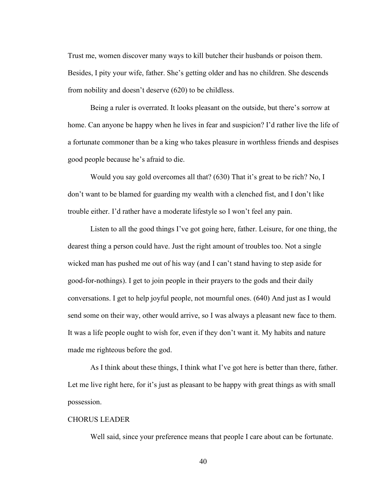Trust me, women discover many ways to kill butcher their husbands or poison them. Besides, I pity your wife, father. She's getting older and has no children. She descends from nobility and doesn't deserve (620) to be childless.

Being a ruler is overrated. It looks pleasant on the outside, but there's sorrow at home. Can anyone be happy when he lives in fear and suspicion? I'd rather live the life of a fortunate commoner than be a king who takes pleasure in worthless friends and despises good people because he's afraid to die.

Would you say gold overcomes all that? (630) That it's great to be rich? No, I don't want to be blamed for guarding my wealth with a clenched fist, and I don't like trouble either. I'd rather have a moderate lifestyle so I won't feel any pain.

Listen to all the good things I've got going here, father. Leisure, for one thing, the dearest thing a person could have. Just the right amount of troubles too. Not a single wicked man has pushed me out of his way (and I can't stand having to step aside for good-for-nothings). I get to join people in their prayers to the gods and their daily conversations. I get to help joyful people, not mournful ones. (640) And just as I would send some on their way, other would arrive, so I was always a pleasant new face to them. It was a life people ought to wish for, even if they don't want it. My habits and nature made me righteous before the god.

As I think about these things, I think what I've got here is better than there, father. Let me live right here, for it's just as pleasant to be happy with great things as with small possession.

#### CHORUS LEADER

Well said, since your preference means that people I care about can be fortunate.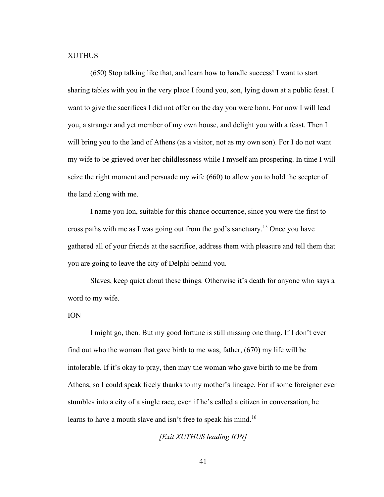#### XUTHUS

(650) Stop talking like that, and learn how to handle success! I want to start sharing tables with you in the very place I found you, son, lying down at a public feast. I want to give the sacrifices I did not offer on the day you were born. For now I will lead you, a stranger and yet member of my own house, and delight you with a feast. Then I will bring you to the land of Athens (as a visitor, not as my own son). For I do not want my wife to be grieved over her childlessness while I myself am prospering. In time I will seize the right moment and persuade my wife (660) to allow you to hold the scepter of the land along with me.

I name you Ion, suitable for this chance occurrence, since you were the first to cross paths with me as I was going out from the god's sanctuary. <sup>15</sup> Once you have gathered all of your friends at the sacrifice, address them with pleasure and tell them that you are going to leave the city of Delphi behind you.

Slaves, keep quiet about these things. Otherwise it's death for anyone who says a word to my wife.

#### ION

I might go, then. But my good fortune is still missing one thing. If I don't ever find out who the woman that gave birth to me was, father, (670) my life will be intolerable. If it's okay to pray, then may the woman who gave birth to me be from Athens, so I could speak freely thanks to my mother's lineage. For if some foreigner ever stumbles into a city of a single race, even if he's called a citizen in conversation, he learns to have a mouth slave and isn't free to speak his mind.<sup>16</sup>

*[Exit XUTHUS leading ION]*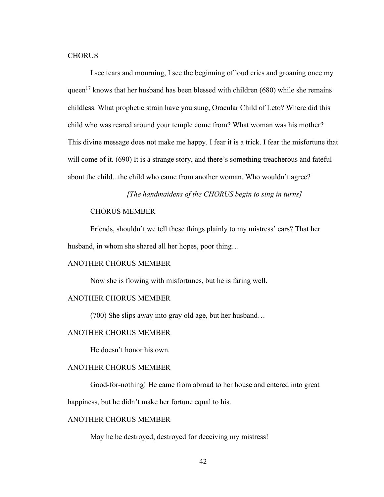#### **CHORUS**

I see tears and mourning, I see the beginning of loud cries and groaning once my queen<sup>17</sup> knows that her husband has been blessed with children (680) while she remains childless. What prophetic strain have you sung, Oracular Child of Leto? Where did this child who was reared around your temple come from? What woman was his mother? This divine message does not make me happy. I fear it is a trick. I fear the misfortune that will come of it. (690) It is a strange story, and there's something treacherous and fateful about the child...the child who came from another woman. Who wouldn't agree?

#### *[The handmaidens of the CHORUS begin to sing in turns]*

#### CHORUS MEMBER

Friends, shouldn't we tell these things plainly to my mistress' ears? That her husband, in whom she shared all her hopes, poor thing…

#### ANOTHER CHORUS MEMBER

Now she is flowing with misfortunes, but he is faring well.

## ANOTHER CHORUS MEMBER

(700) She slips away into gray old age, but her husband…

### ANOTHER CHORUS MEMBER

He doesn't honor his own.

### ANOTHER CHORUS MEMBER

Good-for-nothing! He came from abroad to her house and entered into great

happiness, but he didn't make her fortune equal to his.

### ANOTHER CHORUS MEMBER

May he be destroyed, destroyed for deceiving my mistress!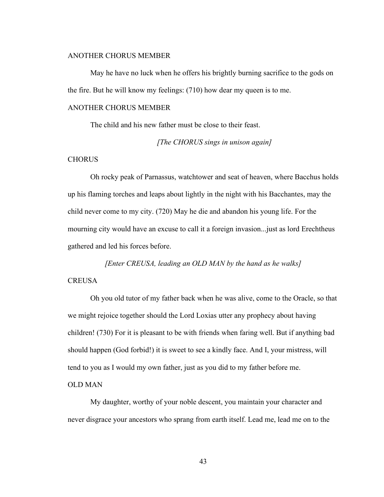### ANOTHER CHORUS MEMBER

May he have no luck when he offers his brightly burning sacrifice to the gods on the fire. But he will know my feelings: (710) how dear my queen is to me.

### ANOTHER CHORUS MEMBER

The child and his new father must be close to their feast.

*[The CHORUS sings in unison again]*

#### **CHORUS**

Oh rocky peak of Parnassus, watchtower and seat of heaven, where Bacchus holds up his flaming torches and leaps about lightly in the night with his Bacchantes, may the child never come to my city. (720) May he die and abandon his young life. For the mourning city would have an excuse to call it a foreign invasion...just as lord Erechtheus gathered and led his forces before.

*[Enter CREUSA, leading an OLD MAN by the hand as he walks]* **CREUSA** 

Oh you old tutor of my father back when he was alive, come to the Oracle, so that we might rejoice together should the Lord Loxias utter any prophecy about having children! (730) For it is pleasant to be with friends when faring well. But if anything bad should happen (God forbid!) it is sweet to see a kindly face. And I, your mistress, will tend to you as I would my own father, just as you did to my father before me.

#### OLD MAN

My daughter, worthy of your noble descent, you maintain your character and never disgrace your ancestors who sprang from earth itself. Lead me, lead me on to the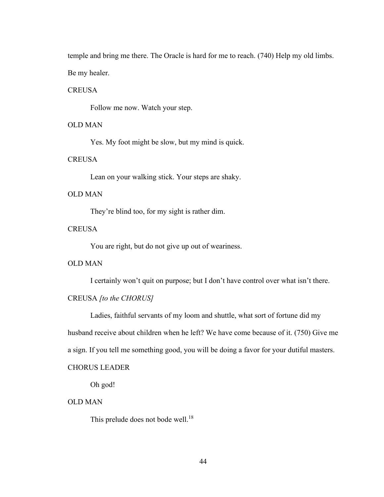temple and bring me there. The Oracle is hard for me to reach. (740) Help my old limbs. Be my healer.

### **CREUSA**

Follow me now. Watch your step.

### OLD MAN

Yes. My foot might be slow, but my mind is quick.

### **CREUSA**

Lean on your walking stick. Your steps are shaky.

## OLD MAN

They're blind too, for my sight is rather dim.

### **CREUSA**

You are right, but do not give up out of weariness.

### OLD MAN

I certainly won't quit on purpose; but I don't have control over what isn't there.

## CREUSA *[to the CHORUS]*

Ladies, faithful servants of my loom and shuttle, what sort of fortune did my husband receive about children when he left? We have come because of it. (750) Give me a sign. If you tell me something good, you will be doing a favor for your dutiful masters.

#### CHORUS LEADER

Oh god!

## OLD MAN

This prelude does not bode well.<sup>18</sup>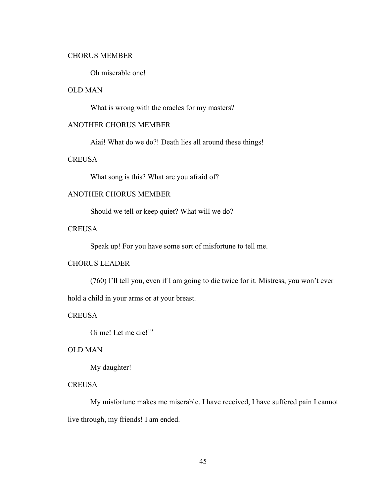#### CHORUS MEMBER

Oh miserable one!

# OLD MAN

What is wrong with the oracles for my masters?

# ANOTHER CHORUS MEMBER

Aiai! What do we do?! Death lies all around these things!

### **CREUSA**

What song is this? What are you afraid of?

# ANOTHER CHORUS MEMBER

Should we tell or keep quiet? What will we do?

# **CREUSA**

Speak up! For you have some sort of misfortune to tell me.

# CHORUS LEADER

(760) I'll tell you, even if I am going to die twice for it. Mistress, you won't ever

hold a child in your arms or at your breast.

**CREUSA** 

Oi me! Let me die!<sup>19</sup>

### OLD MAN

My daughter!

## **CREUSA**

My misfortune makes me miserable. I have received, I have suffered pain I cannot live through, my friends! I am ended.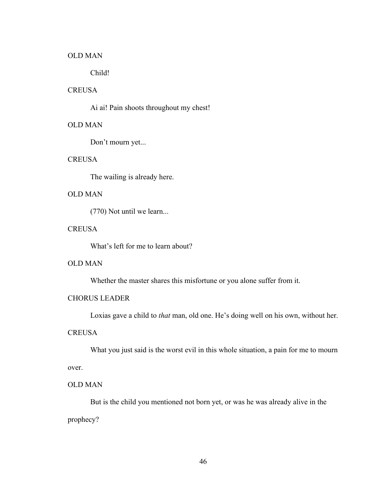#### OLD MAN

Child!

## **CREUSA**

Ai ai! Pain shoots throughout my chest!

# OLD MAN

Don't mourn yet...

#### **CREUSA**

The wailing is already here.

## OLD MAN

(770) Not until we learn...

# **CREUSA**

What's left for me to learn about?

# OLD MAN

Whether the master shares this misfortune or you alone suffer from it.

# CHORUS LEADER

Loxias gave a child to *that* man, old one. He's doing well on his own, without her.

# **CREUSA**

What you just said is the worst evil in this whole situation, a pain for me to mourn over.

### OLD MAN

But is the child you mentioned not born yet, or was he was already alive in the prophecy?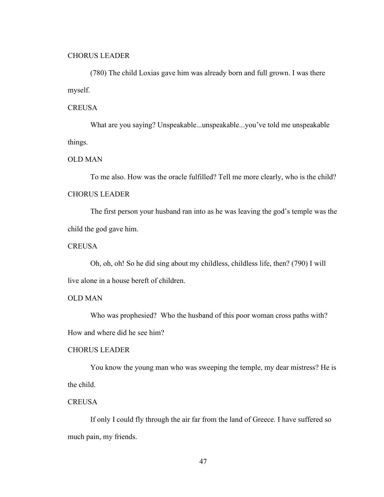#### CHORUS LEADER

(780) The child Loxias gave him was already born and full grown. I was there myself.

#### **CREUSA**

What are you saying? Unspeakable...unspeakable...you've told me unspeakable things.

#### OLD MAN

To me also. How was the oracle fulfilled? Tell me more clearly, who is the child? CHORUS LEADER

The first person your husband ran into as he was leaving the god's temple was the child the god gave him.

### **CREUSA**

Oh, oh, oh! So he did sing about my childless, childless life, then? (790) I will live alone in a house bereft of children.

## OLD MAN

Who was prophesied? Who the husband of this poor woman cross paths with? How and where did he see him?

#### CHORUS LEADER

You know the young man who was sweeping the temple, my dear mistress? He is the child.

## **CREUSA**

If only I could fly through the air far from the land of Greece. I have suffered so much pain, my friends.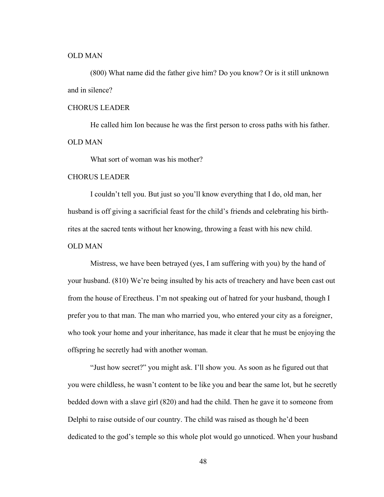#### OLD MAN

(800) What name did the father give him? Do you know? Or is it still unknown and in silence?

### CHORUS LEADER

He called him Ion because he was the first person to cross paths with his father. OLD MAN

What sort of woman was his mother?

### CHORUS LEADER

I couldn't tell you. But just so you'll know everything that I do, old man, her husband is off giving a sacrificial feast for the child's friends and celebrating his birthrites at the sacred tents without her knowing, throwing a feast with his new child.

### OLD MAN

Mistress, we have been betrayed (yes, I am suffering with you) by the hand of your husband. (810) We're being insulted by his acts of treachery and have been cast out from the house of Erectheus. I'm not speaking out of hatred for your husband, though I prefer you to that man. The man who married you, who entered your city as a foreigner, who took your home and your inheritance, has made it clear that he must be enjoying the offspring he secretly had with another woman.

"Just how secret?" you might ask. I'll show you. As soon as he figured out that you were childless, he wasn't content to be like you and bear the same lot, but he secretly bedded down with a slave girl (820) and had the child. Then he gave it to someone from Delphi to raise outside of our country. The child was raised as though he'd been dedicated to the god's temple so this whole plot would go unnoticed. When your husband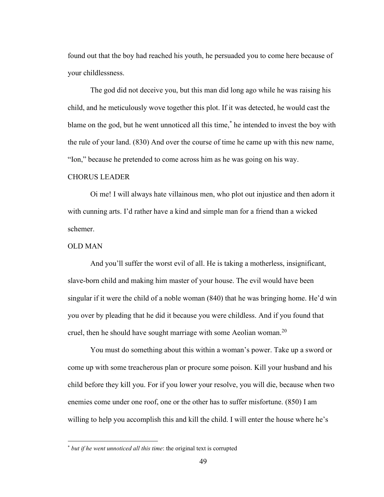found out that the boy had reached his youth, he persuaded you to come here because of your childlessness.

The god did not deceive you, but this man did long ago while he was raising his child, and he meticulously wove together this plot. If it was detected, he would cast the blame on the god, but he went unnoticed all this time,\* he intended to invest the boy with the rule of your land. (830) And over the course of time he came up with this new name, "Ion," because he pretended to come across him as he was going on his way.

## CHORUS LEADER

Oi me! I will always hate villainous men, who plot out injustice and then adorn it with cunning arts. I'd rather have a kind and simple man for a friend than a wicked schemer.

### OLD MAN

And you'll suffer the worst evil of all. He is taking a motherless, insignificant, slave-born child and making him master of your house. The evil would have been singular if it were the child of a noble woman (840) that he was bringing home. He'd win you over by pleading that he did it because you were childless. And if you found that cruel, then he should have sought marriage with some Aeolian woman.<sup>20</sup>

You must do something about this within a woman's power. Take up a sword or come up with some treacherous plan or procure some poison. Kill your husband and his child before they kill you. For if you lower your resolve, you will die, because when two enemies come under one roof, one or the other has to suffer misfortune. (850) I am willing to help you accomplish this and kill the child. I will enter the house where he's

<sup>\*</sup> *but if he went unnoticed all this time*: the original text is corrupted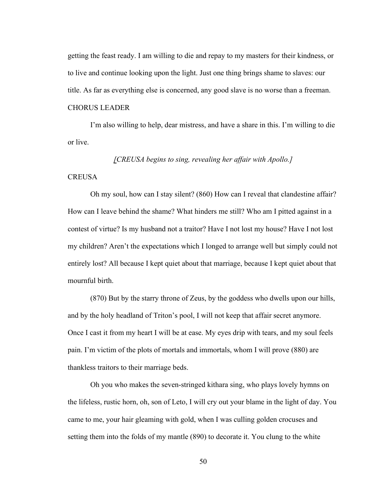getting the feast ready. I am willing to die and repay to my masters for their kindness, or to live and continue looking upon the light. Just one thing brings shame to slaves: our title. As far as everything else is concerned, any good slave is no worse than a freeman. CHORUS LEADER

I'm also willing to help, dear mistress, and have a share in this. I'm willing to die or live.

#### *[CREUSA begins to sing, revealing her affair with Apollo.]*

#### **CREUSA**

Oh my soul, how can I stay silent? (860) How can I reveal that clandestine affair? How can I leave behind the shame? What hinders me still? Who am I pitted against in a contest of virtue? Is my husband not a traitor? Have I not lost my house? Have I not lost my children? Aren't the expectations which I longed to arrange well but simply could not entirely lost? All because I kept quiet about that marriage, because I kept quiet about that mournful birth.

(870) But by the starry throne of Zeus, by the goddess who dwells upon our hills, and by the holy headland of Triton's pool, I will not keep that affair secret anymore. Once I cast it from my heart I will be at ease. My eyes drip with tears, and my soul feels pain. I'm victim of the plots of mortals and immortals, whom I will prove (880) are thankless traitors to their marriage beds.

Oh you who makes the seven-stringed kithara sing, who plays lovely hymns on the lifeless, rustic horn, oh, son of Leto, I will cry out your blame in the light of day. You came to me, your hair gleaming with gold, when I was culling golden crocuses and setting them into the folds of my mantle (890) to decorate it. You clung to the white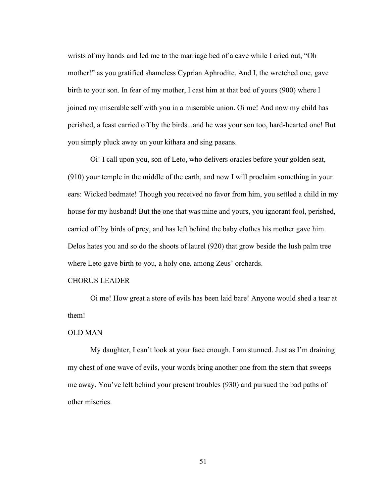wrists of my hands and led me to the marriage bed of a cave while I cried out, "Oh mother!" as you gratified shameless Cyprian Aphrodite. And I, the wretched one, gave birth to your son. In fear of my mother, I cast him at that bed of yours (900) where I joined my miserable self with you in a miserable union. Oi me! And now my child has perished, a feast carried off by the birds...and he was your son too, hard-hearted one! But you simply pluck away on your kithara and sing paeans.

Oi! I call upon you, son of Leto, who delivers oracles before your golden seat, (910) your temple in the middle of the earth, and now I will proclaim something in your ears: Wicked bedmate! Though you received no favor from him, you settled a child in my house for my husband! But the one that was mine and yours, you ignorant fool, perished, carried off by birds of prey, and has left behind the baby clothes his mother gave him. Delos hates you and so do the shoots of laurel (920) that grow beside the lush palm tree where Leto gave birth to you, a holy one, among Zeus' orchards.

#### CHORUS LEADER

Oi me! How great a store of evils has been laid bare! Anyone would shed a tear at them!

### OLD MAN

My daughter, I can't look at your face enough. I am stunned. Just as I'm draining my chest of one wave of evils, your words bring another one from the stern that sweeps me away. You've left behind your present troubles (930) and pursued the bad paths of other miseries.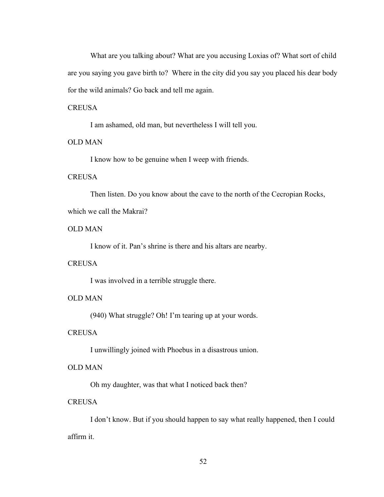What are you talking about? What are you accusing Loxias of? What sort of child are you saying you gave birth to? Where in the city did you say you placed his dear body for the wild animals? Go back and tell me again.

### **CREUSA**

I am ashamed, old man, but nevertheless I will tell you.

# OLD MAN

I know how to be genuine when I weep with friends.

### **CREUSA**

Then listen. Do you know about the cave to the north of the Cecropian Rocks,

### which we call the Makrai?

### OLD MAN

I know of it. Pan's shrine is there and his altars are nearby.

#### **CREUSA**

I was involved in a terrible struggle there.

# OLD MAN

(940) What struggle? Oh! I'm tearing up at your words.

### **CREUSA**

I unwillingly joined with Phoebus in a disastrous union.

### OLD MAN

Oh my daughter, was that what I noticed back then?

## **CREUSA**

I don't know. But if you should happen to say what really happened, then I could affirm it.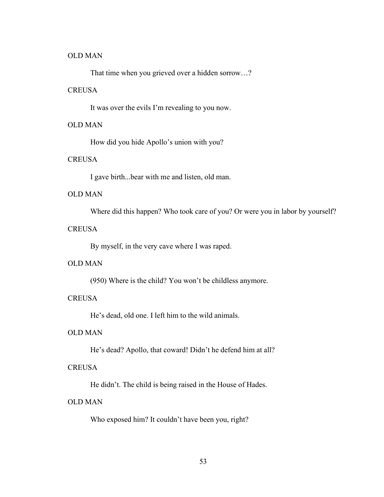### OLD MAN

That time when you grieved over a hidden sorrow…?

## **CREUSA**

It was over the evils I'm revealing to you now.

### OLD MAN

How did you hide Apollo's union with you?

### **CREUSA**

I gave birth...bear with me and listen, old man.

# OLD MAN

Where did this happen? Who took care of you? Or were you in labor by yourself?

### **CREUSA**

By myself, in the very cave where I was raped.

### OLD MAN

(950) Where is the child? You won't be childless anymore.

# **CREUSA**

He's dead, old one. I left him to the wild animals.

# OLD MAN

He's dead? Apollo, that coward! Didn't he defend him at all?

### **CREUSA**

He didn't. The child is being raised in the House of Hades.

### OLD MAN

Who exposed him? It couldn't have been you, right?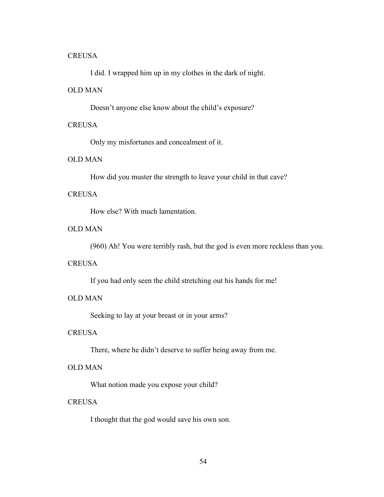#### **CREUSA**

I did. I wrapped him up in my clothes in the dark of night.

# OLD MAN

Doesn't anyone else know about the child's exposure?

### **CREUSA**

Only my misfortunes and concealment of it.

## OLD MAN

How did you muster the strength to leave your child in that cave?

### **CREUSA**

How else? With much lamentation.

# OLD MAN

(960) Ah! You were terribly rash, but the god is even more reckless than you.

### **CREUSA**

If you had only seen the child stretching out his hands for me!

# OLD MAN

Seeking to lay at your breast or in your arms?

#### **CREUSA**

There, where he didn't deserve to suffer being away from me.

# OLD MAN

What notion made you expose your child?

## **CREUSA**

I thought that the god would save his own son.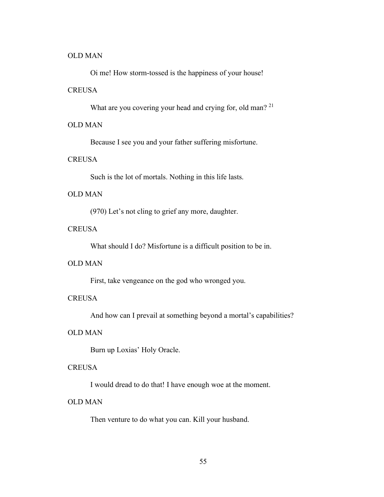#### OLD MAN

Oi me! How storm-tossed is the happiness of your house!

### **CREUSA**

What are you covering your head and crying for, old man? <sup>21</sup>

# OLD MAN

Because I see you and your father suffering misfortune.

### **CREUSA**

Such is the lot of mortals. Nothing in this life lasts.

# OLD MAN

(970) Let's not cling to grief any more, daughter.

# **CREUSA**

What should I do? Misfortune is a difficult position to be in.

### OLD MAN

First, take vengeance on the god who wronged you.

# **CREUSA**

And how can I prevail at something beyond a mortal's capabilities?

# OLD MAN

Burn up Loxias' Holy Oracle.

### **CREUSA**

I would dread to do that! I have enough woe at the moment.

### OLD MAN

Then venture to do what you can. Kill your husband.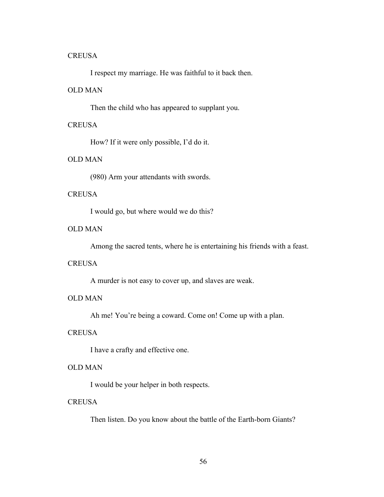#### **CREUSA**

I respect my marriage. He was faithful to it back then.

# OLD MAN

Then the child who has appeared to supplant you.

#### **CREUSA**

How? If it were only possible, I'd do it.

## OLD MAN

(980) Arm your attendants with swords.

### **CREUSA**

I would go, but where would we do this?

# OLD MAN

Among the sacred tents, where he is entertaining his friends with a feast.

## **CREUSA**

A murder is not easy to cover up, and slaves are weak.

# OLD MAN

Ah me! You're being a coward. Come on! Come up with a plan.

#### **CREUSA**

I have a crafty and effective one.

# OLD MAN

I would be your helper in both respects.

### **CREUSA**

Then listen. Do you know about the battle of the Earth-born Giants?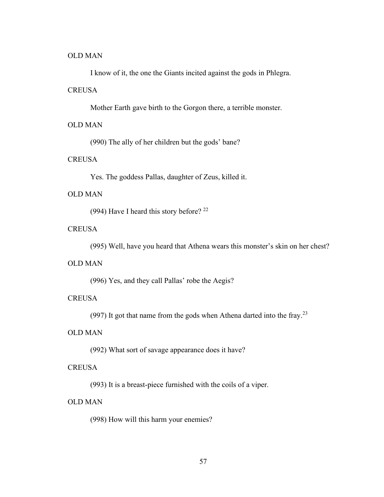#### OLD MAN

I know of it, the one the Giants incited against the gods in Phlegra.

#### **CREUSA**

Mother Earth gave birth to the Gorgon there, a terrible monster.

### OLD MAN

(990) The ally of her children but the gods' bane?

## **CREUSA**

Yes. The goddess Pallas, daughter of Zeus, killed it.

## OLD MAN

(994) Have I heard this story before? <sup>22</sup>

### **CREUSA**

(995) Well, have you heard that Athena wears this monster's skin on her chest?

### OLD MAN

(996) Yes, and they call Pallas' robe the Aegis?

### **CREUSA**

(997) It got that name from the gods when Athena darted into the fray.<sup>23</sup>

# OLD MAN

(992) What sort of savage appearance does it have?

### **CREUSA**

(993) It is a breast-piece furnished with the coils of a viper.

## OLD MAN

(998) How will this harm your enemies?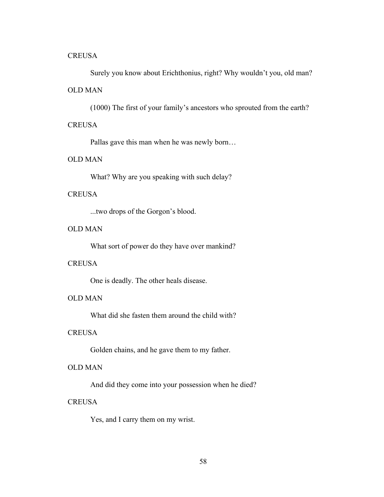### **CREUSA**

Surely you know about Erichthonius, right? Why wouldn't you, old man?

## OLD MAN

(1000) The first of your family's ancestors who sprouted from the earth?

### **CREUSA**

Pallas gave this man when he was newly born…

### OLD MAN

What? Why are you speaking with such delay?

## **CREUSA**

...two drops of the Gorgon's blood.

# OLD MAN

What sort of power do they have over mankind?

### **CREUSA**

One is deadly. The other heals disease.

# OLD MAN

What did she fasten them around the child with?

# **CREUSA**

Golden chains, and he gave them to my father.

# OLD MAN

And did they come into your possession when he died?

## **CREUSA**

Yes, and I carry them on my wrist.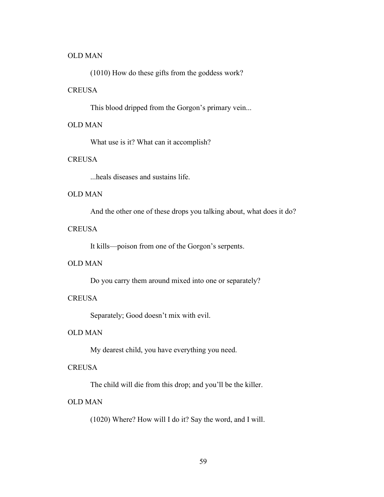### OLD MAN

(1010) How do these gifts from the goddess work?

# **CREUSA**

This blood dripped from the Gorgon's primary vein...

# OLD MAN

What use is it? What can it accomplish?

## **CREUSA**

...heals diseases and sustains life.

## OLD MAN

And the other one of these drops you talking about, what does it do?

### **CREUSA**

It kills—poison from one of the Gorgon's serpents.

#### OLD MAN

Do you carry them around mixed into one or separately?

### **CREUSA**

Separately; Good doesn't mix with evil.

# OLD MAN

My dearest child, you have everything you need.

### **CREUSA**

The child will die from this drop; and you'll be the killer.

## OLD MAN

(1020) Where? How will I do it? Say the word, and I will.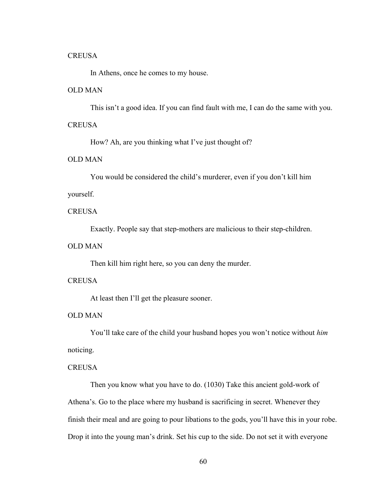#### **CREUSA**

In Athens, once he comes to my house.

#### OLD MAN

This isn't a good idea. If you can find fault with me, I can do the same with you.

### **CREUSA**

How? Ah, are you thinking what I've just thought of?

### OLD MAN

You would be considered the child's murderer, even if you don't kill him

#### yourself.

## **CREUSA**

Exactly. People say that step-mothers are malicious to their step-children.

#### OLD MAN

Then kill him right here, so you can deny the murder.

#### **CREUSA**

At least then I'll get the pleasure sooner.

## OLD MAN

You'll take care of the child your husband hopes you won't notice without *him* noticing.

### **CREUSA**

Then you know what you have to do. (1030) Take this ancient gold-work of Athena's. Go to the place where my husband is sacrificing in secret. Whenever they finish their meal and are going to pour libations to the gods, you'll have this in your robe. Drop it into the young man's drink. Set his cup to the side. Do not set it with everyone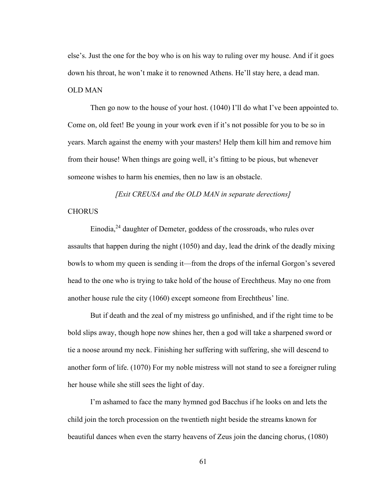else's. Just the one for the boy who is on his way to ruling over my house. And if it goes down his throat, he won't make it to renowned Athens. He'll stay here, a dead man. OLD MAN

Then go now to the house of your host. (1040) I'll do what I've been appointed to. Come on, old feet! Be young in your work even if it's not possible for you to be so in years. March against the enemy with your masters! Help them kill him and remove him from their house! When things are going well, it's fitting to be pious, but whenever someone wishes to harm his enemies, then no law is an obstacle.

*[Exit CREUSA and the OLD MAN in separate derections]* **CHORUS** 

Einodia,<sup>24</sup> daughter of Demeter, goddess of the crossroads, who rules over assaults that happen during the night (1050) and day, lead the drink of the deadly mixing bowls to whom my queen is sending it—from the drops of the infernal Gorgon's severed head to the one who is trying to take hold of the house of Erechtheus. May no one from another house rule the city (1060) except someone from Erechtheus' line.

But if death and the zeal of my mistress go unfinished, and if the right time to be bold slips away, though hope now shines her, then a god will take a sharpened sword or tie a noose around my neck. Finishing her suffering with suffering, she will descend to another form of life. (1070) For my noble mistress will not stand to see a foreigner ruling her house while she still sees the light of day.

I'm ashamed to face the many hymned god Bacchus if he looks on and lets the child join the torch procession on the twentieth night beside the streams known for beautiful dances when even the starry heavens of Zeus join the dancing chorus, (1080)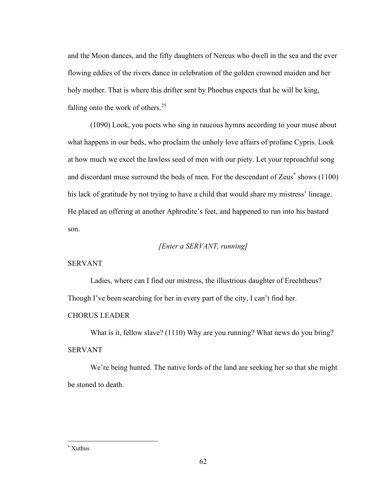and the Moon dances, and the fifty daughters of Nereus who dwell in the sea and the ever flowing eddies of the rivers dance in celebration of the golden crowned maiden and her holy mother. That is where this drifter sent by Phoebus expects that he will be king, falling onto the work of others.<sup>25</sup>

(1090) Look, you poets who sing in raucous hymns according to your muse about what happens in our beds, who proclaim the unholy love affairs of profane Cypris. Look at how much we excel the lawless seed of men with our piety. Let your reproachful song and discordant muse surround the beds of men. For the descendant of Zeus\* shows (1100) his lack of gratitude by not trying to have a child that would share my mistress' lineage. He placed an offering at another Aphrodite's feet, and happened to run into his bastard son.

### *[Enter a SERVANT, running]*

### SERVANT

Ladies, where can I find our mistress, the illustrious daughter of Erechtheus? Though I've been searching for her in every part of the city, I can't find her.

#### CHORUS LEADER

What is it, fellow slave? (1110) Why are you running? What news do you bring? SERVANT

We're being hunted. The native lords of the land are seeking her so that she might be stoned to death.

<sup>\*</sup> Xuthus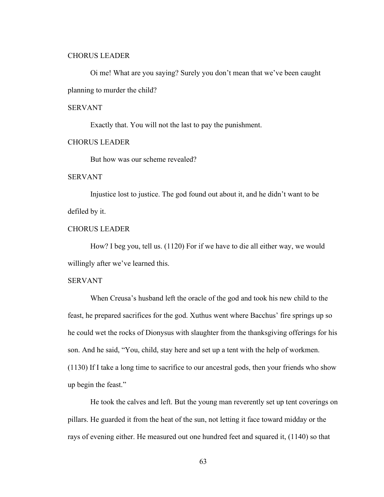#### CHORUS LEADER

Oi me! What are you saying? Surely you don't mean that we've been caught planning to murder the child?

#### SERVANT

Exactly that. You will not the last to pay the punishment.

### CHORUS LEADER

But how was our scheme revealed?

SERVANT

Injustice lost to justice. The god found out about it, and he didn't want to be defiled by it.

## CHORUS LEADER

How? I beg you, tell us. (1120) For if we have to die all either way, we would willingly after we've learned this.

#### SERVANT

When Creusa's husband left the oracle of the god and took his new child to the feast, he prepared sacrifices for the god. Xuthus went where Bacchus' fire springs up so he could wet the rocks of Dionysus with slaughter from the thanksgiving offerings for his son. And he said, "You, child, stay here and set up a tent with the help of workmen. (1130) If I take a long time to sacrifice to our ancestral gods, then your friends who show up begin the feast."

He took the calves and left. But the young man reverently set up tent coverings on pillars. He guarded it from the heat of the sun, not letting it face toward midday or the rays of evening either. He measured out one hundred feet and squared it, (1140) so that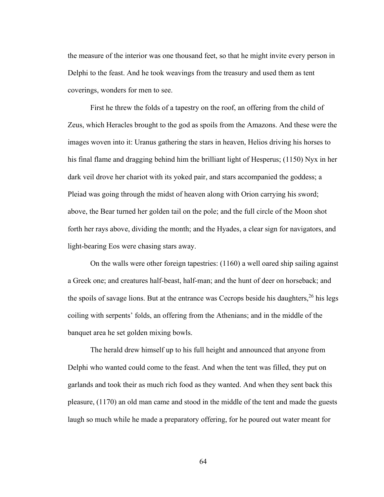the measure of the interior was one thousand feet, so that he might invite every person in Delphi to the feast. And he took weavings from the treasury and used them as tent coverings, wonders for men to see.

First he threw the folds of a tapestry on the roof, an offering from the child of Zeus, which Heracles brought to the god as spoils from the Amazons. And these were the images woven into it: Uranus gathering the stars in heaven, Helios driving his horses to his final flame and dragging behind him the brilliant light of Hesperus; (1150) Nyx in her dark veil drove her chariot with its yoked pair, and stars accompanied the goddess; a Pleiad was going through the midst of heaven along with Orion carrying his sword; above, the Bear turned her golden tail on the pole; and the full circle of the Moon shot forth her rays above, dividing the month; and the Hyades, a clear sign for navigators, and light-bearing Eos were chasing stars away.

On the walls were other foreign tapestries: (1160) a well oared ship sailing against a Greek one; and creatures half-beast, half-man; and the hunt of deer on horseback; and the spoils of savage lions. But at the entrance was Cecrops beside his daughters,  $^{26}$  his legs coiling with serpents' folds, an offering from the Athenians; and in the middle of the banquet area he set golden mixing bowls.

The herald drew himself up to his full height and announced that anyone from Delphi who wanted could come to the feast. And when the tent was filled, they put on garlands and took their as much rich food as they wanted. And when they sent back this pleasure, (1170) an old man came and stood in the middle of the tent and made the guests laugh so much while he made a preparatory offering, for he poured out water meant for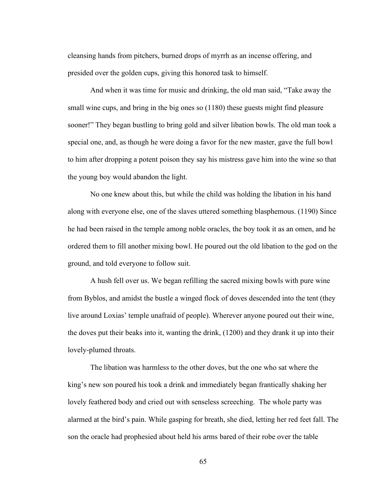cleansing hands from pitchers, burned drops of myrrh as an incense offering, and presided over the golden cups, giving this honored task to himself.

And when it was time for music and drinking, the old man said, "Take away the small wine cups, and bring in the big ones so (1180) these guests might find pleasure sooner!" They began bustling to bring gold and silver libation bowls. The old man took a special one, and, as though he were doing a favor for the new master, gave the full bowl to him after dropping a potent poison they say his mistress gave him into the wine so that the young boy would abandon the light.

No one knew about this, but while the child was holding the libation in his hand along with everyone else, one of the slaves uttered something blasphemous. (1190) Since he had been raised in the temple among noble oracles, the boy took it as an omen, and he ordered them to fill another mixing bowl. He poured out the old libation to the god on the ground, and told everyone to follow suit.

A hush fell over us. We began refilling the sacred mixing bowls with pure wine from Byblos, and amidst the bustle a winged flock of doves descended into the tent (they live around Loxias' temple unafraid of people). Wherever anyone poured out their wine, the doves put their beaks into it, wanting the drink, (1200) and they drank it up into their lovely-plumed throats.

The libation was harmless to the other doves, but the one who sat where the king's new son poured his took a drink and immediately began frantically shaking her lovely feathered body and cried out with senseless screeching. The whole party was alarmed at the bird's pain. While gasping for breath, she died, letting her red feet fall. The son the oracle had prophesied about held his arms bared of their robe over the table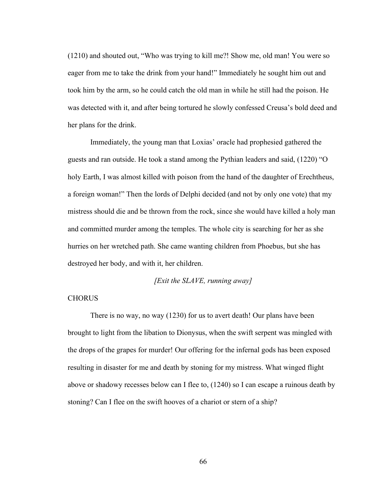(1210) and shouted out, "Who was trying to kill me?! Show me, old man! You were so eager from me to take the drink from your hand!" Immediately he sought him out and took him by the arm, so he could catch the old man in while he still had the poison. He was detected with it, and after being tortured he slowly confessed Creusa's bold deed and her plans for the drink.

Immediately, the young man that Loxias' oracle had prophesied gathered the guests and ran outside. He took a stand among the Pythian leaders and said, (1220) "O holy Earth, I was almost killed with poison from the hand of the daughter of Erechtheus, a foreign woman!" Then the lords of Delphi decided (and not by only one vote) that my mistress should die and be thrown from the rock, since she would have killed a holy man and committed murder among the temples. The whole city is searching for her as she hurries on her wretched path. She came wanting children from Phoebus, but she has destroyed her body, and with it, her children.

### *[Exit the SLAVE, running away]*

#### **CHORUS**

There is no way, no way (1230) for us to avert death! Our plans have been brought to light from the libation to Dionysus, when the swift serpent was mingled with the drops of the grapes for murder! Our offering for the infernal gods has been exposed resulting in disaster for me and death by stoning for my mistress. What winged flight above or shadowy recesses below can I flee to, (1240) so I can escape a ruinous death by stoning? Can I flee on the swift hooves of a chariot or stern of a ship?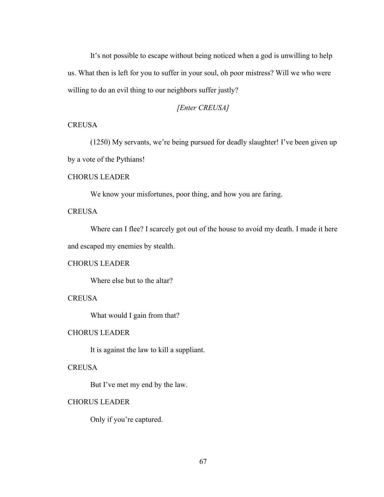It's not possible to escape without being noticed when a god is unwilling to help us. What then is left for you to suffer in your soul, oh poor mistress? Will we who were willing to do an evil thing to our neighbors suffer justly?

## *[Enter CREUSA]*

## **CREUSA**

(1250) My servants, we're being pursued for deadly slaughter! I've been given up by a vote of the Pythians!

# CHORUS LEADER

We know your misfortunes, poor thing, and how you are faring.

## **CREUSA**

Where can I flee? I scarcely got out of the house to avoid my death. I made it here and escaped my enemies by stealth.

### CHORUS LEADER

Where else but to the altar?

**CREUSA** 

What would I gain from that?

## CHORUS LEADER

It is against the law to kill a suppliant.

### **CREUSA**

But I've met my end by the law.

### CHORUS LEADER

Only if you're captured.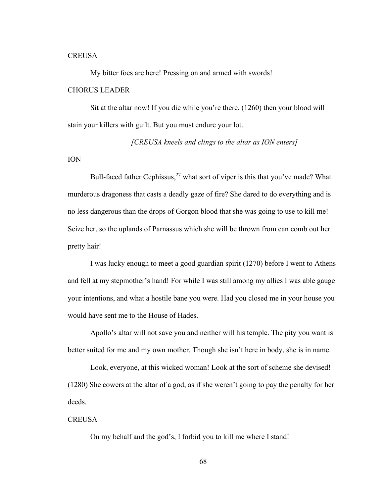#### **CREUSA**

My bitter foes are here! Pressing on and armed with swords!

### CHORUS LEADER

Sit at the altar now! If you die while you're there, (1260) then your blood will stain your killers with guilt. But you must endure your lot.

*[CREUSA kneels and clings to the altar as ION enters]*

#### ION

Bull-faced father Cephissus,  $27$  what sort of viper is this that you've made? What murderous dragoness that casts a deadly gaze of fire? She dared to do everything and is no less dangerous than the drops of Gorgon blood that she was going to use to kill me! Seize her, so the uplands of Parnassus which she will be thrown from can comb out her pretty hair!

I was lucky enough to meet a good guardian spirit (1270) before I went to Athens and fell at my stepmother's hand! For while I was still among my allies I was able gauge your intentions, and what a hostile bane you were. Had you closed me in your house you would have sent me to the House of Hades.

Apollo's altar will not save you and neither will his temple. The pity you want is better suited for me and my own mother. Though she isn't here in body, she is in name.

Look, everyone, at this wicked woman! Look at the sort of scheme she devised! (1280) She cowers at the altar of a god, as if she weren't going to pay the penalty for her deeds.

### **CREUSA**

On my behalf and the god's, I forbid you to kill me where I stand!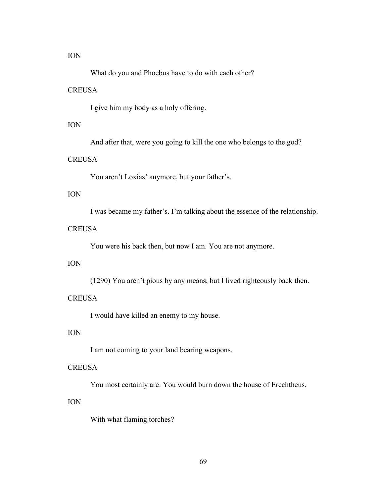#### ION

What do you and Phoebus have to do with each other?

#### **CREUSA**

I give him my body as a holy offering.

#### ION

And after that, were you going to kill the one who belongs to the god?

### **CREUSA**

You aren't Loxias' anymore, but your father's.

## ION

I was became my father's. I'm talking about the essence of the relationship.

# **CREUSA**

You were his back then, but now I am. You are not anymore.

## ION

(1290) You aren't pious by any means, but I lived righteously back then.

## **CREUSA**

I would have killed an enemy to my house.

## ION

I am not coming to your land bearing weapons.

### **CREUSA**

You most certainly are. You would burn down the house of Erechtheus.

#### ION

With what flaming torches?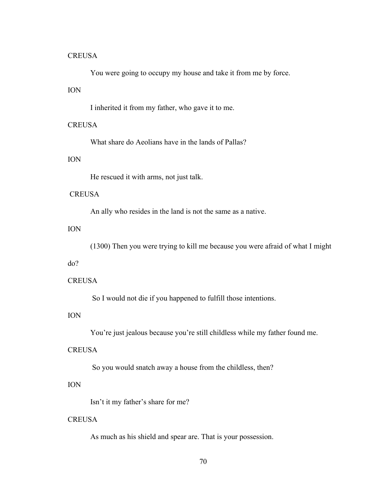You were going to occupy my house and take it from me by force.

### ION

I inherited it from my father, who gave it to me.

### **CREUSA**

What share do Aeolians have in the lands of Pallas?

# ION

He rescued it with arms, not just talk.

### **CREUSA**

An ally who resides in the land is not the same as a native.

# ION

(1300) Then you were trying to kill me because you were afraid of what I might

# do?

#### **CREUSA**

So I would not die if you happened to fulfill those intentions.

## ION

You're just jealous because you're still childless while my father found me.

### **CREUSA**

So you would snatch away a house from the childless, then?

#### ION

Isn't it my father's share for me?

## **CREUSA**

As much as his shield and spear are. That is your possession.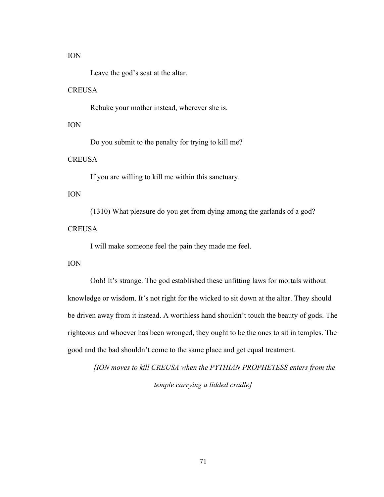#### ION

Leave the god's seat at the altar.

#### **CREUSA**

Rebuke your mother instead, wherever she is.

#### ION

Do you submit to the penalty for trying to kill me?

## **CREUSA**

If you are willing to kill me within this sanctuary.

#### ION

(1310) What pleasure do you get from dying among the garlands of a god? **CREUSA** 

I will make someone feel the pain they made me feel.

## ION

Ooh! It's strange. The god established these unfitting laws for mortals without knowledge or wisdom. It's not right for the wicked to sit down at the altar. They should be driven away from it instead. A worthless hand shouldn't touch the beauty of gods. The righteous and whoever has been wronged, they ought to be the ones to sit in temples. The good and the bad shouldn't come to the same place and get equal treatment.

*[ION moves to kill CREUSA when the PYTHIAN PROPHETESS enters from the temple carrying a lidded cradle]*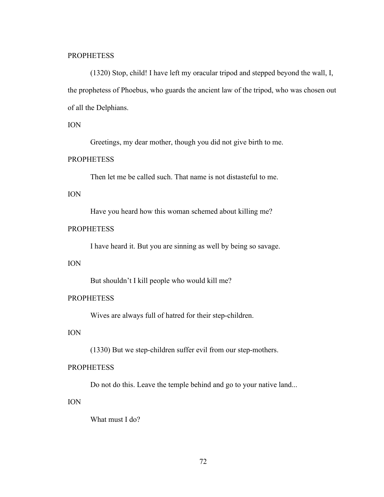#### **PROPHETESS**

(1320) Stop, child! I have left my oracular tripod and stepped beyond the wall, I, the prophetess of Phoebus, who guards the ancient law of the tripod, who was chosen out of all the Delphians.

#### ION

Greetings, my dear mother, though you did not give birth to me.

#### **PROPHETESS**

Then let me be called such. That name is not distasteful to me.

#### ION

Have you heard how this woman schemed about killing me?

## **PROPHETESS**

I have heard it. But you are sinning as well by being so savage.

## ION

But shouldn't I kill people who would kill me?

# **PROPHETESS**

Wives are always full of hatred for their step-children.

## ION

(1330) But we step-children suffer evil from our step-mothers.

## **PROPHETESS**

Do not do this. Leave the temple behind and go to your native land...

#### ION

What must I do?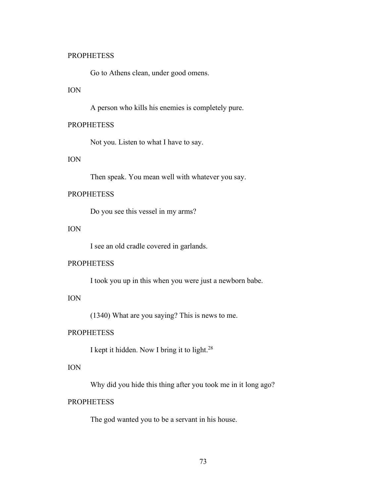#### **PROPHETESS**

Go to Athens clean, under good omens.

## ION

A person who kills his enemies is completely pure.

## **PROPHETESS**

Not you. Listen to what I have to say.

# ION

Then speak. You mean well with whatever you say.

### **PROPHETESS**

Do you see this vessel in my arms?

## ION

I see an old cradle covered in garlands.

### **PROPHETESS**

I took you up in this when you were just a newborn babe.

## ION

(1340) What are you saying? This is news to me.

## **PROPHETESS**

I kept it hidden. Now I bring it to light.<sup>28</sup>

## ION

Why did you hide this thing after you took me in it long ago?

## **PROPHETESS**

The god wanted you to be a servant in his house.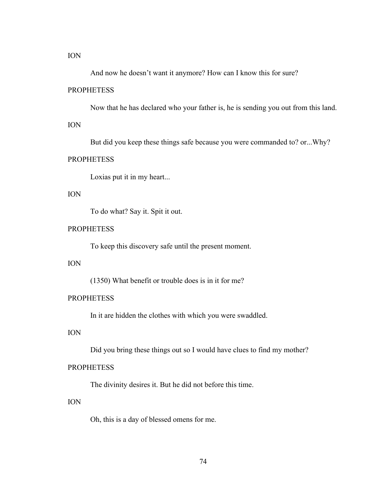ION

And now he doesn't want it anymore? How can I know this for sure?

## **PROPHETESS**

Now that he has declared who your father is, he is sending you out from this land.

## ION

But did you keep these things safe because you were commanded to? or...Why?

#### **PROPHETESS**

Loxias put it in my heart...

## ION

To do what? Say it. Spit it out.

## **PROPHETESS**

To keep this discovery safe until the present moment.

## ION

(1350) What benefit or trouble does is in it for me?

## **PROPHETESS**

In it are hidden the clothes with which you were swaddled.

## ION

Did you bring these things out so I would have clues to find my mother?

### **PROPHETESS**

The divinity desires it. But he did not before this time.

#### ION

Oh, this is a day of blessed omens for me.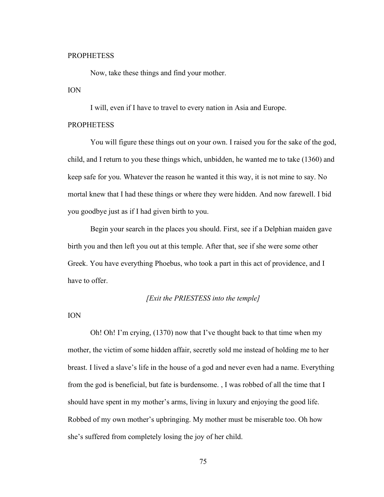#### **PROPHETESS**

Now, take these things and find your mother.

#### ION

I will, even if I have to travel to every nation in Asia and Europe.

#### PROPHETESS

You will figure these things out on your own. I raised you for the sake of the god, child, and I return to you these things which, unbidden, he wanted me to take (1360) and keep safe for you. Whatever the reason he wanted it this way, it is not mine to say. No mortal knew that I had these things or where they were hidden. And now farewell. I bid you goodbye just as if I had given birth to you.

Begin your search in the places you should. First, see if a Delphian maiden gave birth you and then left you out at this temple. After that, see if she were some other Greek. You have everything Phoebus, who took a part in this act of providence, and I have to offer.

#### *[Exit the PRIESTESS into the temple]*

#### ION

Oh! Oh! I'm crying, (1370) now that I've thought back to that time when my mother, the victim of some hidden affair, secretly sold me instead of holding me to her breast. I lived a slave's life in the house of a god and never even had a name. Everything from the god is beneficial, but fate is burdensome. , I was robbed of all the time that I should have spent in my mother's arms, living in luxury and enjoying the good life. Robbed of my own mother's upbringing. My mother must be miserable too. Oh how she's suffered from completely losing the joy of her child.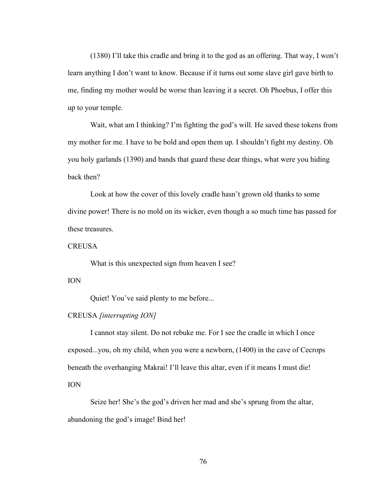(1380) I'll take this cradle and bring it to the god as an offering. That way, I won't learn anything I don't want to know. Because if it turns out some slave girl gave birth to me, finding my mother would be worse than leaving it a secret. Oh Phoebus, I offer this up to your temple.

Wait, what am I thinking? I'm fighting the god's will. He saved these tokens from my mother for me. I have to be bold and open them up. I shouldn't fight my destiny. Oh you holy garlands (1390) and bands that guard these dear things, what were you hiding back then?

Look at how the cover of this lovely cradle hasn't grown old thanks to some divine power! There is no mold on its wicker, even though a so much time has passed for these treasures.

#### **CREUSA**

What is this unexpected sign from heaven I see?

#### ION

Quiet! You've said plenty to me before...

#### CREUSA *[interrupting ION]*

I cannot stay silent. Do not rebuke me. For I see the cradle in which I once exposed...you, oh my child, when you were a newborn, (1400) in the cave of Cecrops beneath the overhanging Makrai! I'll leave this altar, even if it means I must die! ION

Seize her! She's the god's driven her mad and she's sprung from the altar, abandoning the god's image! Bind her!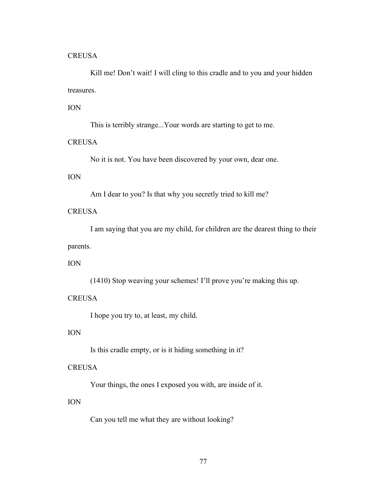Kill me! Don't wait! I will cling to this cradle and to you and your hidden treasures.

## ION

This is terribly strange...Your words are starting to get to me.

# **CREUSA**

No it is not. You have been discovered by your own, dear one.

## ION

Am I dear to you? Is that why you secretly tried to kill me?

# **CREUSA**

I am saying that you are my child, for children are the dearest thing to their parents.

## ION

(1410) Stop weaving your schemes! I'll prove you're making this up.

#### **CREUSA**

I hope you try to, at least, my child.

## ION

Is this cradle empty, or is it hiding something in it?

#### **CREUSA**

Your things, the ones I exposed you with, are inside of it.

## ION

Can you tell me what they are without looking?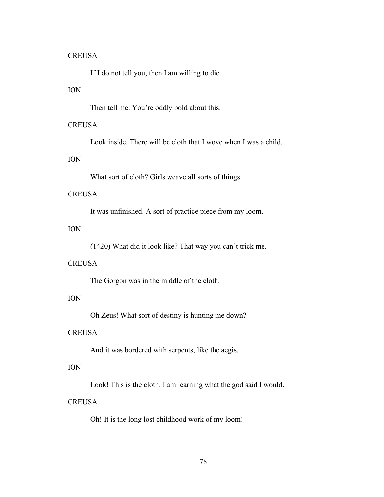If I do not tell you, then I am willing to die.

## ION

Then tell me. You're oddly bold about this.

## **CREUSA**

Look inside. There will be cloth that I wove when I was a child.

# ION

What sort of cloth? Girls weave all sorts of things.

## **CREUSA**

It was unfinished. A sort of practice piece from my loom.

## ION

(1420) What did it look like? That way you can't trick me.

## **CREUSA**

The Gorgon was in the middle of the cloth.

## ION

Oh Zeus! What sort of destiny is hunting me down?

# **CREUSA**

And it was bordered with serpents, like the aegis.

# ION

Look! This is the cloth. I am learning what the god said I would.

## **CREUSA**

Oh! It is the long lost childhood work of my loom!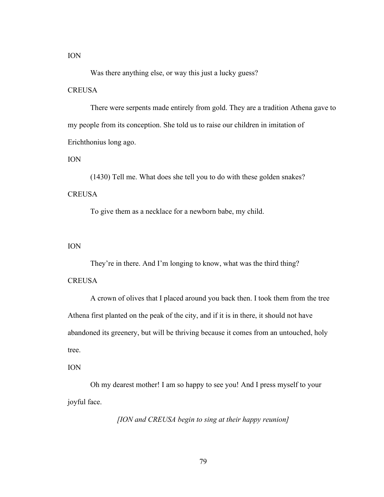ION

Was there anything else, or way this just a lucky guess?

#### **CREUSA**

There were serpents made entirely from gold. They are a tradition Athena gave to my people from its conception. She told us to raise our children in imitation of Erichthonius long ago.

ION

(1430) Tell me. What does she tell you to do with these golden snakes? **CREUSA** 

To give them as a necklace for a newborn babe, my child.

#### ION

They're in there. And I'm longing to know, what was the third thing?

### **CREUSA**

A crown of olives that I placed around you back then. I took them from the tree Athena first planted on the peak of the city, and if it is in there, it should not have abandoned its greenery, but will be thriving because it comes from an untouched, holy tree.

#### ION

Oh my dearest mother! I am so happy to see you! And I press myself to your joyful face.

*[ION and CREUSA begin to sing at their happy reunion]*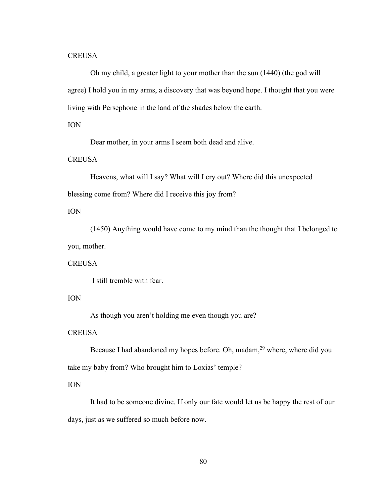Oh my child, a greater light to your mother than the sun (1440) (the god will agree) I hold you in my arms, a discovery that was beyond hope. I thought that you were living with Persephone in the land of the shades below the earth.

### ION

Dear mother, in your arms I seem both dead and alive.

### **CREUSA**

Heavens, what will I say? What will I cry out? Where did this unexpected blessing come from? Where did I receive this joy from?

## ION

(1450) Anything would have come to my mind than the thought that I belonged to you, mother.

#### **CREUSA**

I still tremble with fear.

#### ION

As though you aren't holding me even though you are?

### **CREUSA**

Because I had abandoned my hopes before. Oh, madam,<sup>29</sup> where, where did you take my baby from? Who brought him to Loxias' temple?

### ION

It had to be someone divine. If only our fate would let us be happy the rest of our days, just as we suffered so much before now.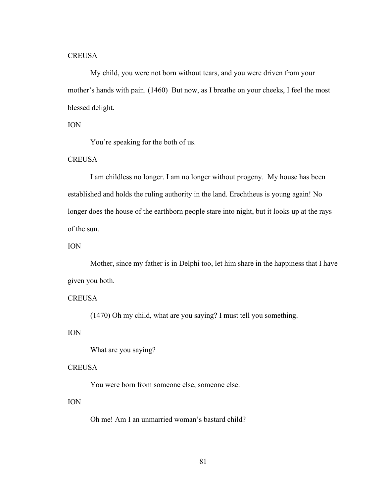My child, you were not born without tears, and you were driven from your mother's hands with pain. (1460) But now, as I breathe on your cheeks, I feel the most blessed delight.

#### ION

You're speaking for the both of us.

## **CREUSA**

I am childless no longer. I am no longer without progeny. My house has been established and holds the ruling authority in the land. Erechtheus is young again! No longer does the house of the earthborn people stare into night, but it looks up at the rays of the sun.

#### ION

Mother, since my father is in Delphi too, let him share in the happiness that I have given you both.

### **CREUSA**

(1470) Oh my child, what are you saying? I must tell you something.

## ION

What are you saying?

#### **CREUSA**

You were born from someone else, someone else.

#### ION

Oh me! Am I an unmarried woman's bastard child?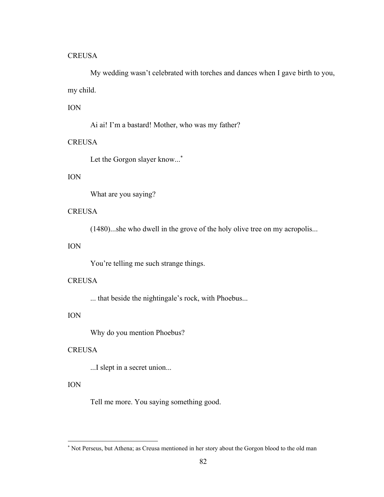My wedding wasn't celebrated with torches and dances when I gave birth to you, my child.

## ION

Ai ai! I'm a bastard! Mother, who was my father?

## **CREUSA**

Let the Gorgon slayer know...<sup>\*</sup>

## ION

What are you saying?

## **CREUSA**

(1480)...she who dwell in the grove of the holy olive tree on my acropolis...

## ION

You're telling me such strange things.

#### **CREUSA**

... that beside the nightingale's rock, with Phoebus...

## ION

Why do you mention Phoebus?

## **CREUSA**

...I slept in a secret union...

#### ION

Tell me more. You saying something good.

<sup>\*</sup> Not Perseus, but Athena; as Creusa mentioned in her story about the Gorgon blood to the old man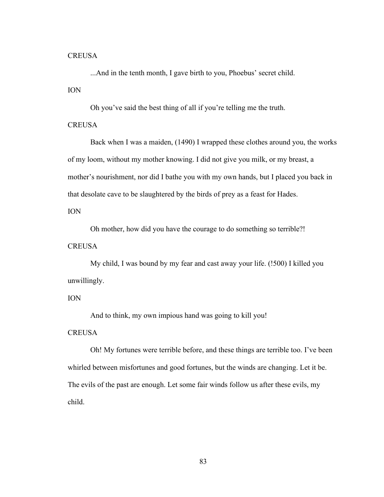...And in the tenth month, I gave birth to you, Phoebus' secret child.

ION

Oh you've said the best thing of all if you're telling me the truth.

## **CREUSA**

Back when I was a maiden, (1490) I wrapped these clothes around you, the works of my loom, without my mother knowing. I did not give you milk, or my breast, a mother's nourishment, nor did I bathe you with my own hands, but I placed you back in that desolate cave to be slaughtered by the birds of prey as a feast for Hades.

ION

Oh mother, how did you have the courage to do something so terrible?!

**CREUSA** 

My child, I was bound by my fear and cast away your life. (!500) I killed you unwillingly.

#### ION

And to think, my own impious hand was going to kill you!

### **CREUSA**

Oh! My fortunes were terrible before, and these things are terrible too. I've been whirled between misfortunes and good fortunes, but the winds are changing. Let it be. The evils of the past are enough. Let some fair winds follow us after these evils, my child.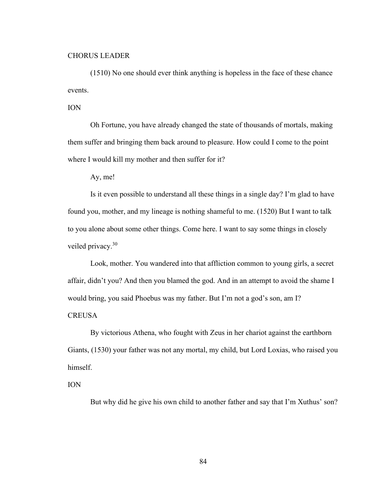#### CHORUS LEADER

(1510) No one should ever think anything is hopeless in the face of these chance events.

ION

Oh Fortune, you have already changed the state of thousands of mortals, making them suffer and bringing them back around to pleasure. How could I come to the point where I would kill my mother and then suffer for it?

Ay, me!

Is it even possible to understand all these things in a single day? I'm glad to have found you, mother, and my lineage is nothing shameful to me. (1520) But I want to talk to you alone about some other things. Come here. I want to say some things in closely veiled privacy.<sup>30</sup>

Look, mother. You wandered into that affliction common to young girls, a secret affair, didn't you? And then you blamed the god. And in an attempt to avoid the shame I would bring, you said Phoebus was my father. But I'm not a god's son, am I? **CREUSA** 

By victorious Athena, who fought with Zeus in her chariot against the earthborn Giants, (1530) your father was not any mortal, my child, but Lord Loxias, who raised you himself.

ION

But why did he give his own child to another father and say that I'm Xuthus' son?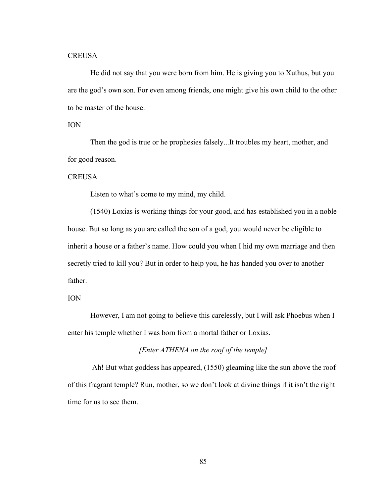He did not say that you were born from him. He is giving you to Xuthus, but you are the god's own son. For even among friends, one might give his own child to the other to be master of the house.

#### ION

Then the god is true or he prophesies falsely...It troubles my heart, mother, and for good reason.

#### **CREUSA**

Listen to what's come to my mind, my child.

(1540) Loxias is working things for your good, and has established you in a noble house. But so long as you are called the son of a god, you would never be eligible to inherit a house or a father's name. How could you when I hid my own marriage and then secretly tried to kill you? But in order to help you, he has handed you over to another father.

#### ION

However, I am not going to believe this carelessly, but I will ask Phoebus when I enter his temple whether I was born from a mortal father or Loxias.

### *[Enter ATHENA on the roof of the temple]*

Ah! But what goddess has appeared, (1550) gleaming like the sun above the roof of this fragrant temple? Run, mother, so we don't look at divine things if it isn't the right time for us to see them.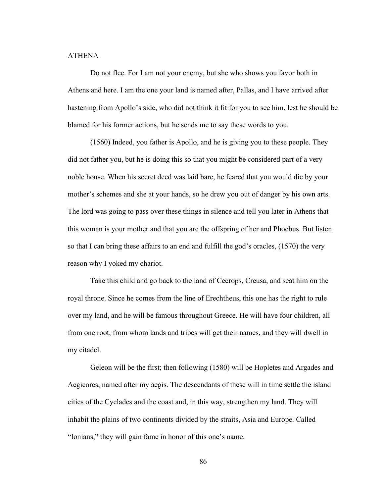### ATHENA

Do not flee. For I am not your enemy, but she who shows you favor both in Athens and here. I am the one your land is named after, Pallas, and I have arrived after hastening from Apollo's side, who did not think it fit for you to see him, lest he should be blamed for his former actions, but he sends me to say these words to you.

(1560) Indeed, you father is Apollo, and he is giving you to these people. They did not father you, but he is doing this so that you might be considered part of a very noble house. When his secret deed was laid bare, he feared that you would die by your mother's schemes and she at your hands, so he drew you out of danger by his own arts. The lord was going to pass over these things in silence and tell you later in Athens that this woman is your mother and that you are the offspring of her and Phoebus. But listen so that I can bring these affairs to an end and fulfill the god's oracles, (1570) the very reason why I yoked my chariot.

Take this child and go back to the land of Cecrops, Creusa, and seat him on the royal throne. Since he comes from the line of Erechtheus, this one has the right to rule over my land, and he will be famous throughout Greece. He will have four children, all from one root, from whom lands and tribes will get their names, and they will dwell in my citadel.

Geleon will be the first; then following (1580) will be Hopletes and Argades and Aegicores, named after my aegis. The descendants of these will in time settle the island cities of the Cyclades and the coast and, in this way, strengthen my land. They will inhabit the plains of two continents divided by the straits, Asia and Europe. Called "Ionians," they will gain fame in honor of this one's name.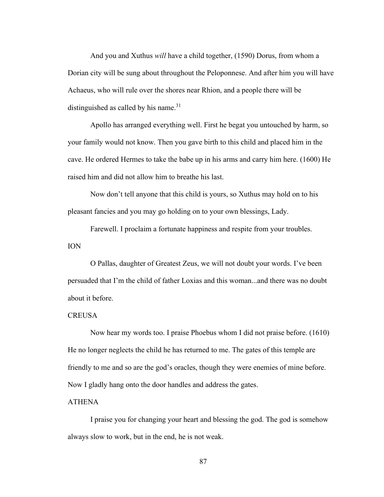And you and Xuthus *will* have a child together, (1590) Dorus, from whom a Dorian city will be sung about throughout the Peloponnese. And after him you will have Achaeus, who will rule over the shores near Rhion, and a people there will be distinguished as called by his name. $31$ 

Apollo has arranged everything well. First he begat you untouched by harm, so your family would not know. Then you gave birth to this child and placed him in the cave. He ordered Hermes to take the babe up in his arms and carry him here. (1600) He raised him and did not allow him to breathe his last.

Now don't tell anyone that this child is yours, so Xuthus may hold on to his pleasant fancies and you may go holding on to your own blessings, Lady.

Farewell. I proclaim a fortunate happiness and respite from your troubles. ION

O Pallas, daughter of Greatest Zeus, we will not doubt your words. I've been persuaded that I'm the child of father Loxias and this woman...and there was no doubt about it before.

#### **CREUSA**

Now hear my words too. I praise Phoebus whom I did not praise before. (1610) He no longer neglects the child he has returned to me. The gates of this temple are friendly to me and so are the god's oracles, though they were enemies of mine before. Now I gladly hang onto the door handles and address the gates.

### ATHENA

I praise you for changing your heart and blessing the god. The god is somehow always slow to work, but in the end, he is not weak.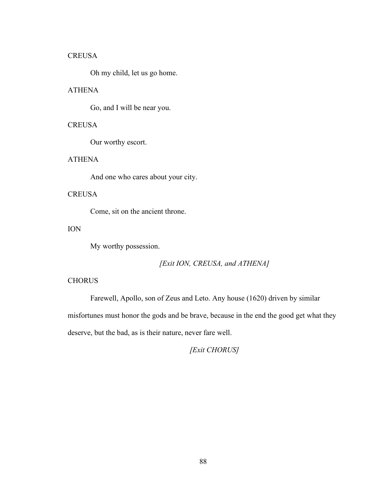Oh my child, let us go home.

## ATHENA

Go, and I will be near you.

# **CREUSA**

Our worthy escort.

### ATHENA

And one who cares about your city.

## **CREUSA**

Come, sit on the ancient throne.

## ION

My worthy possession.

# *[Exit ION, CREUSA, and ATHENA]*

### **CHORUS**

Farewell, Apollo, son of Zeus and Leto. Any house (1620) driven by similar misfortunes must honor the gods and be brave, because in the end the good get what they deserve, but the bad, as is their nature, never fare well.

*[Exit CHORUS]*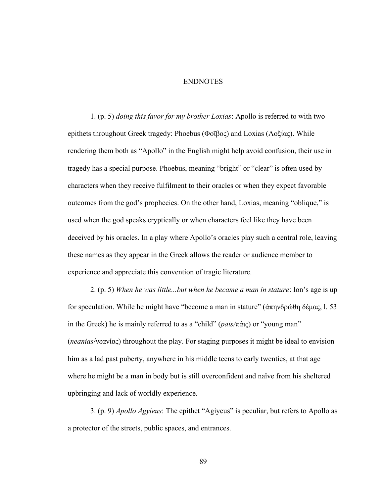#### ENDNOTES

1. (p. 5) *doing this favor for my brother Loxias*: Apollo is referred to with two epithets throughout Greek tragedy: Phoebus (Φοῖβος) and Loxias (Λοξίας). While rendering them both as "Apollo" in the English might help avoid confusion, their use in tragedy has a special purpose. Phoebus, meaning "bright" or "clear" is often used by characters when they receive fulfilment to their oracles or when they expect favorable outcomes from the god's prophecies. On the other hand, Loxias, meaning "oblique," is used when the god speaks cryptically or when characters feel like they have been deceived by his oracles. In a play where Apollo's oracles play such a central role, leaving these names as they appear in the Greek allows the reader or audience member to experience and appreciate this convention of tragic literature.

2. (p. 5) *When he was little...but when he became a man in stature*: Ion's age is up for speculation. While he might have "become a man in stature" (ἀπηνδρώθη δέμας, l. 53 in the Greek) he is mainly referred to as a "child" (*pais/*πάις) or "young man" (*neanias*/νεανίας) throughout the play. For staging purposes it might be ideal to envision him as a lad past puberty, anywhere in his middle teens to early twenties, at that age where he might be a man in body but is still overconfident and naïve from his sheltered upbringing and lack of worldly experience.

3. (p. 9) *Apollo Agyieus*: The epithet "Agiyeus" is peculiar, but refers to Apollo as a protector of the streets, public spaces, and entrances.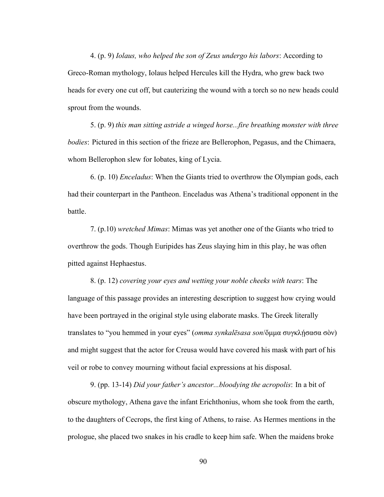4. (p. 9) *Iolaus, who helped the son of Zeus undergo his labors*: According to Greco-Roman mythology, Iolaus helped Hercules kill the Hydra, who grew back two heads for every one cut off, but cauterizing the wound with a torch so no new heads could sprout from the wounds.

5. (p. 9) *this man sitting astride a winged horse...fire breathing monster with three bodies*: Pictured in this section of the frieze are Bellerophon, Pegasus, and the Chimaera, whom Bellerophon slew for Iobates, king of Lycia.

6. (p. 10) *Enceladus*: When the Giants tried to overthrow the Olympian gods, each had their counterpart in the Pantheon. Enceladus was Athena's traditional opponent in the battle.

7. (p.10) *wretched Mimas*: Mimas was yet another one of the Giants who tried to overthrow the gods. Though Euripides has Zeus slaying him in this play, he was often pitted against Hephaestus.

8. (p. 12) *covering your eyes and wetting your noble cheeks with tears*: The language of this passage provides an interesting description to suggest how crying would have been portrayed in the original style using elaborate masks. The Greek literally translates to "you hemmed in your eyes" (*omma synkalēsasa son*/ὄμμα συγκλήσασα σὸν) and might suggest that the actor for Creusa would have covered his mask with part of his veil or robe to convey mourning without facial expressions at his disposal.

9. (pp. 13-14) *Did your father's ancestor...bloodying the acropolis*: In a bit of obscure mythology, Athena gave the infant Erichthonius, whom she took from the earth, to the daughters of Cecrops, the first king of Athens, to raise. As Hermes mentions in the prologue, she placed two snakes in his cradle to keep him safe. When the maidens broke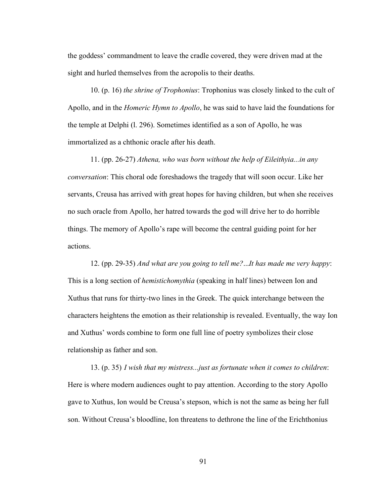the goddess' commandment to leave the cradle covered, they were driven mad at the sight and hurled themselves from the acropolis to their deaths.

10. (p. 16) *the shrine of Trophonius*: Trophonius was closely linked to the cult of Apollo, and in the *Homeric Hymn to Apollo*, he was said to have laid the foundations for the temple at Delphi (l. 296). Sometimes identified as a son of Apollo, he was immortalized as a chthonic oracle after his death.

11. (pp. 26-27) *Athena, who was born without the help of Eileithyia...in any conversation*: This choral ode foreshadows the tragedy that will soon occur. Like her servants, Creusa has arrived with great hopes for having children, but when she receives no such oracle from Apollo, her hatred towards the god will drive her to do horrible things. The memory of Apollo's rape will become the central guiding point for her actions.

12. (pp. 29-35) *And what are you going to tell me?*...*It has made me very happy*: This is a long section of *hemistichomythia* (speaking in half lines) between Ion and Xuthus that runs for thirty-two lines in the Greek. The quick interchange between the characters heightens the emotion as their relationship is revealed. Eventually, the way Ion and Xuthus' words combine to form one full line of poetry symbolizes their close relationship as father and son.

13. (p. 35) *I wish that my mistress...just as fortunate when it comes to children*: Here is where modern audiences ought to pay attention. According to the story Apollo gave to Xuthus, Ion would be Creusa's stepson, which is not the same as being her full son. Without Creusa's bloodline, Ion threatens to dethrone the line of the Erichthonius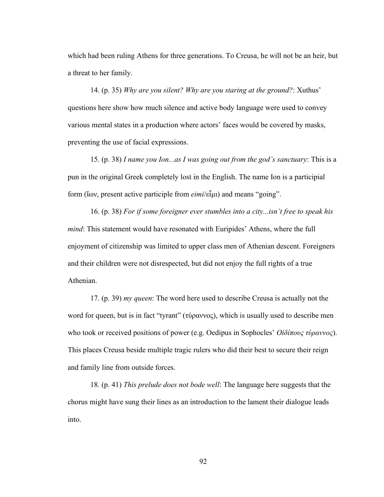which had been ruling Athens for three generations. To Creusa, he will not be an heir, but a threat to her family.

14. (p. 35) *Why are you silent? Why are you staring at the ground?*: Xuthus' questions here show how much silence and active body language were used to convey various mental states in a production where actors' faces would be covered by masks, preventing the use of facial expressions.

15. (p. 38) *I name you Ion...as I was going out from the god's sanctuary*: This is a pun in the original Greek completely lost in the English. The name Ion is a participial form (ἴων, present active participle from *eimi*/εἶμι) and means "going".

16. (p. 38) *For if some foreigner ever stumbles into a city...isn't free to speak his mind*: This statement would have resonated with Euripides' Athens, where the full enjoyment of citizenship was limited to upper class men of Athenian descent. Foreigners and their children were not disrespected, but did not enjoy the full rights of a true Athenian.

17. (p. 39) *my queen*: The word here used to describe Creusa is actually not the word for queen, but is in fact "tyrant" (τύραννος), which is usually used to describe men who took or received positions of power (e.g. Oedipus in Sophocles' *Οἰδίπους τύραννος*). This places Creusa beside multiple tragic rulers who did their best to secure their reign and family line from outside forces.

18. (p. 41) *This prelude does not bode well*: The language here suggests that the chorus might have sung their lines as an introduction to the lament their dialogue leads into.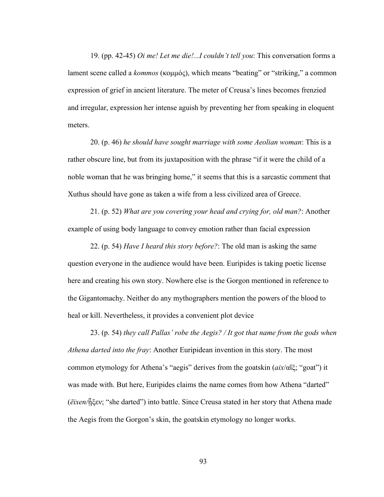19. (pp. 42-45) *Oi me! Let me die!...I couldn't tell you*: This conversation forms a lament scene called a *kommos* (κομμός), which means "beating" or "striking," a common expression of grief in ancient literature. The meter of Creusa's lines becomes frenzied and irregular, expression her intense aguish by preventing her from speaking in eloquent meters.

20. (p. 46) *he should have sought marriage with some Aeolian woman*: This is a rather obscure line, but from its juxtaposition with the phrase "if it were the child of a noble woman that he was bringing home," it seems that this is a sarcastic comment that Xuthus should have gone as taken a wife from a less civilized area of Greece.

21. (p. 52) *What are you covering your head and crying for, old man?*: Another example of using body language to convey emotion rather than facial expression

22. (p. 54) *Have I heard this story before?*: The old man is asking the same question everyone in the audience would have been. Euripides is taking poetic license here and creating his own story. Nowhere else is the Gorgon mentioned in reference to the Gigantomachy. Neither do any mythographers mention the powers of the blood to heal or kill. Nevertheless, it provides a convenient plot device

23. (p. 54) *they call Pallas' robe the Aegis? / It got that name from the gods when Athena darted into the fray*: Another Euripidean invention in this story. The most common etymology for Athena's "aegis" derives from the goatskin (*aix*/αἴξ; "goat") it was made with. But here, Euripides claims the name comes from how Athena "darted" (*ēixen/*ᾖξεν; "she darted") into battle. Since Creusa stated in her story that Athena made the Aegis from the Gorgon's skin, the goatskin etymology no longer works.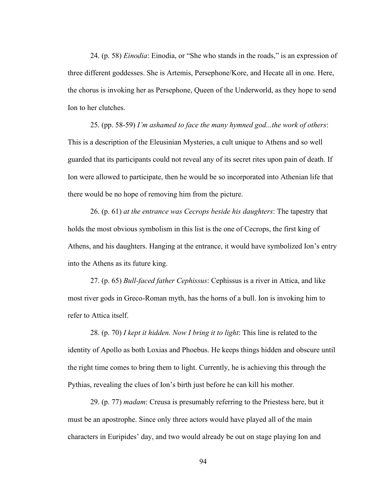24. (p. 58) *Einodia*: Einodia, or "She who stands in the roads," is an expression of three different goddesses. She is Artemis, Persephone/Kore, and Hecate all in one. Here, the chorus is invoking her as Persephone, Queen of the Underworld, as they hope to send Ion to her clutches.

25. (pp. 58-59) *I'm ashamed to face the many hymned god...the work of others*: This is a description of the Eleusinian Mysteries, a cult unique to Athens and so well guarded that its participants could not reveal any of its secret rites upon pain of death. If Ion were allowed to participate, then he would be so incorporated into Athenian life that there would be no hope of removing him from the picture.

26. (p. 61) *at the entrance was Cecrops beside his daughters*: The tapestry that holds the most obvious symbolism in this list is the one of Cecrops, the first king of Athens, and his daughters. Hanging at the entrance, it would have symbolized Ion's entry into the Athens as its future king.

27. (p. 65) *Bull-faced father Cephissus*: Cephissus is a river in Attica, and like most river gods in Greco-Roman myth, has the horns of a bull. Ion is invoking him to refer to Attica itself.

28. (p. 70) *I kept it hidden. Now I bring it to light*: This line is related to the identity of Apollo as both Loxias and Phoebus. He keeps things hidden and obscure until the right time comes to bring them to light. Currently, he is achieving this through the Pythias, revealing the clues of Ion's birth just before he can kill his mother.

29. (p. 77) *madam*: Creusa is presumably referring to the Priestess here, but it must be an apostrophe. Since only three actors would have played all of the main characters in Euripides' day, and two would already be out on stage playing Ion and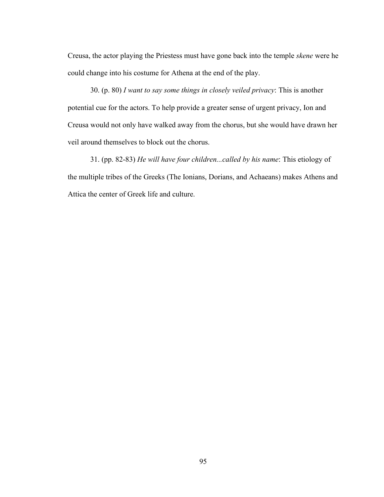Creusa, the actor playing the Priestess must have gone back into the temple *skene* were he could change into his costume for Athena at the end of the play.

30. (p. 80) *I want to say some things in closely veiled privacy*: This is another potential cue for the actors. To help provide a greater sense of urgent privacy, Ion and Creusa would not only have walked away from the chorus, but she would have drawn her veil around themselves to block out the chorus.

31. (pp. 82-83) *He will have four children...called by his name*: This etiology of the multiple tribes of the Greeks (The Ionians, Dorians, and Achaeans) makes Athens and Attica the center of Greek life and culture.